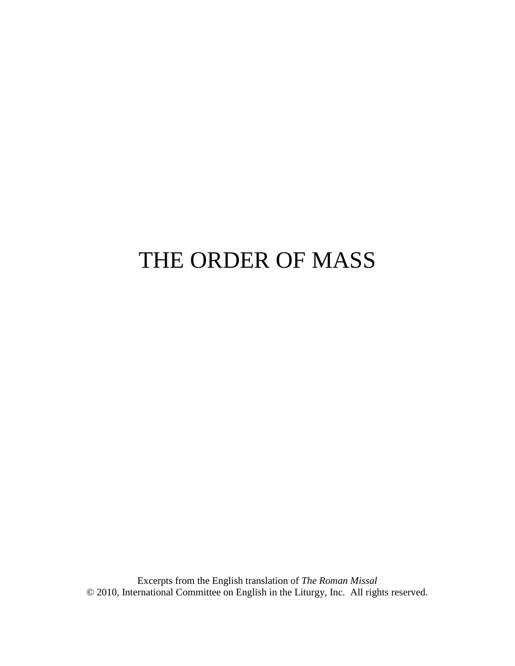# THE ORDER OF MASS

Excerpts from the English translation of *The Roman Missal* © 2010, International Committee on English in the Liturgy, Inc. All rights reserved.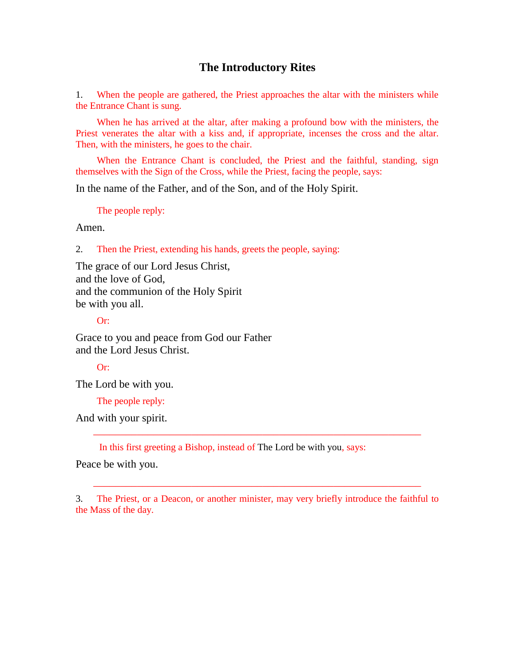## **The Introductory Rites**

1. When the people are gathered, the Priest approaches the altar with the ministers while the Entrance Chant is sung.

When he has arrived at the altar, after making a profound bow with the ministers, the Priest venerates the altar with a kiss and, if appropriate, incenses the cross and the altar. Then, with the ministers, he goes to the chair.

When the Entrance Chant is concluded, the Priest and the faithful, standing, sign themselves with the Sign of the Cross, while the Priest, facing the people, says:

In the name of the Father, and of the Son, and of the Holy Spirit.

The people reply:

Amen.

```
2. Then the Priest, extending his hands, greets the people, saying:
```
The grace of our Lord Jesus Christ, and the love of God, and the communion of the Holy Spirit be with you all.

Or:

Grace to you and peace from God our Father and the Lord Jesus Christ.

Or:

The Lord be with you.

The people reply:

And with your spirit.

In this first greeting a Bishop, instead of The Lord be with you, says:

Peace be with you.

3. The Priest, or a Deacon, or another minister, may very briefly introduce the faithful to the Mass of the day.

\_\_\_\_\_\_\_\_\_\_\_\_\_\_\_\_\_\_\_\_\_\_\_\_\_\_\_\_\_\_\_\_\_\_\_\_\_\_\_\_\_\_\_\_\_\_\_\_\_\_\_\_\_\_\_\_\_\_\_\_

\_\_\_\_\_\_\_\_\_\_\_\_\_\_\_\_\_\_\_\_\_\_\_\_\_\_\_\_\_\_\_\_\_\_\_\_\_\_\_\_\_\_\_\_\_\_\_\_\_\_\_\_\_\_\_\_\_\_\_\_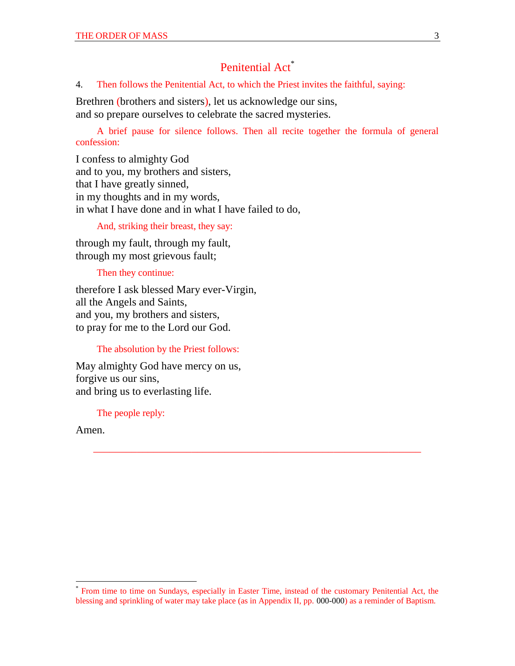# Penitential Act<sup>\*</sup>

4. Then follows the Penitential Act, to which the Priest invites the faithful, saying:

Brethren (brothers and sisters), let us acknowledge our sins, and so prepare ourselves to celebrate the sacred mysteries.

A brief pause for silence follows. Then all recite together the formula of general confession:

I confess to almighty God and to you, my brothers and sisters, that I have greatly sinned, in my thoughts and in my words, in what I have done and in what I have failed to do,

And, striking their breast, they say:

through my fault, through my fault, through my most grievous fault;

Then they continue:

therefore I ask blessed Mary ever-Virgin, all the Angels and Saints, and you, my brothers and sisters, to pray for me to the Lord our God.

#### The absolution by the Priest follows:

May almighty God have mercy on us, forgive us our sins, and bring us to everlasting life.

The people reply:

Amen.

 $\overline{a}$ 

\_\_\_\_\_\_\_\_\_\_\_\_\_\_\_\_\_\_\_\_\_\_\_\_\_\_\_\_\_\_\_\_\_\_\_\_\_\_\_\_\_\_\_\_\_\_\_\_\_\_\_\_\_\_\_\_\_\_\_\_

<sup>\*</sup> From time to time on Sundays, especially in Easter Time, instead of the customary Penitential Act, the blessing and sprinkling of water may take place (as in Appendix II, pp. 000-000) as a reminder of Baptism.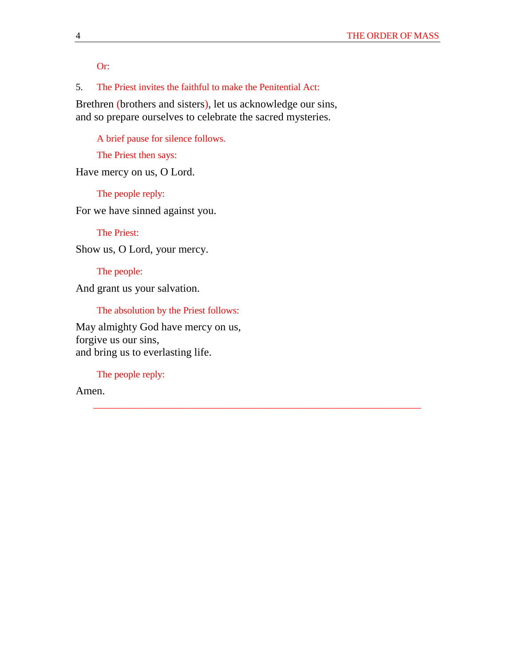Or:

5. The Priest invites the faithful to make the Penitential Act:

Brethren (brothers and sisters), let us acknowledge our sins, and so prepare ourselves to celebrate the sacred mysteries.

A brief pause for silence follows.

The Priest then says:

Have mercy on us, O Lord.

The people reply:

For we have sinned against you.

The Priest:

Show us, O Lord, your mercy.

The people:

And grant us your salvation.

The absolution by the Priest follows:

\_\_\_\_\_\_\_\_\_\_\_\_\_\_\_\_\_\_\_\_\_\_\_\_\_\_\_\_\_\_\_\_\_\_\_\_\_\_\_\_\_\_\_\_\_\_\_\_\_\_\_\_\_\_\_\_\_\_\_\_

May almighty God have mercy on us, forgive us our sins, and bring us to everlasting life.

The people reply:

Amen.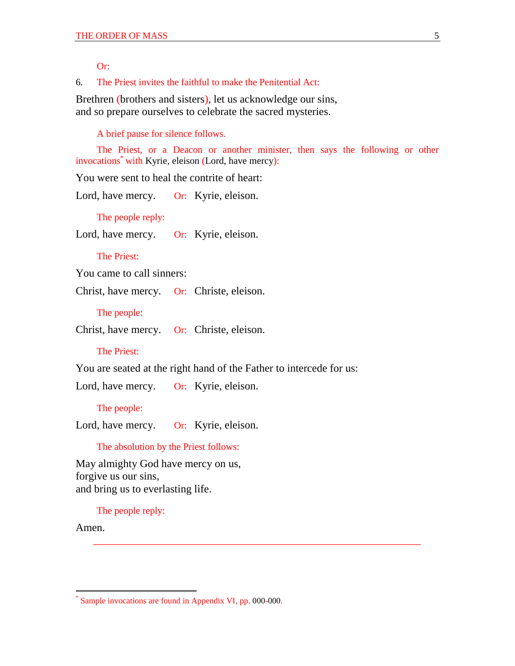Or:

6. The Priest invites the faithful to make the Penitential Act:

Brethren (brothers and sisters), let us acknowledge our sins, and so prepare ourselves to celebrate the sacred mysteries.

A brief pause for silence follows.

The Priest, or a Deacon or another minister, then says the following or other invocations<sup>\*</sup> with Kyrie, eleison (Lord, have mercy):

You were sent to heal the contrite of heart:

Lord, have mercy. Or: Kyrie, eleison.

The people reply:

Lord, have mercy. Or: Kyrie, eleison.

The Priest:

You came to call sinners:

Christ, have mercy. Or: Christe, eleison.

The people:

Christ, have mercy. Or: Christe, eleison.

## The Priest:

You are seated at the right hand of the Father to intercede for us:

\_\_\_\_\_\_\_\_\_\_\_\_\_\_\_\_\_\_\_\_\_\_\_\_\_\_\_\_\_\_\_\_\_\_\_\_\_\_\_\_\_\_\_\_\_\_\_\_\_\_\_\_\_\_\_\_\_\_\_\_

Lord, have mercy. Or: Kyrie, eleison.

The people:

Lord, have mercy. Or: Kyrie, eleison.

The absolution by the Priest follows:

May almighty God have mercy on us, forgive us our sins, and bring us to everlasting life.

The people reply:

Amen.

 $\overline{a}$ 

<sup>\*</sup> Sample invocations are found in Appendix VI, pp. 000-000.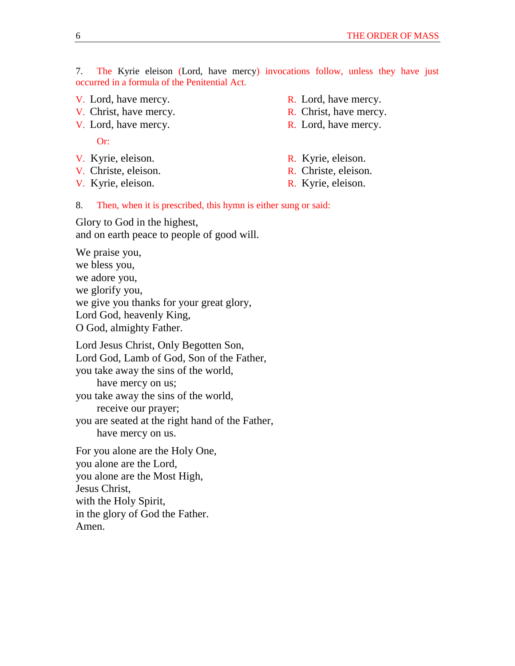7. The Kyrie eleison (Lord, have mercy) invocations follow, unless they have just occurred in a formula of the Penitential Act.

- $V.$  Lord, have mercy.  $R.$  Lord, have mercy.
- 
- 

Or:

- V. Kyrie, eleison. R. Kyrie, eleison.
- V. Christe, eleison. R. Christe, eleison.
- V. Kyrie, eleison. R. Kyrie, eleison.
- 
- V. Christ, have mercy. R. Christ, have mercy.
- $V.$  Lord, have mercy.  $R.$  Lord, have mercy.
	-
	-
	-

### 8. Then, when it is prescribed, this hymn is either sung or said:

Glory to God in the highest, and on earth peace to people of good will.

We praise you, we bless you, we adore you, we glorify you, we give you thanks for your great glory, Lord God, heavenly King, O God, almighty Father.

Lord Jesus Christ, Only Begotten Son, Lord God, Lamb of God, Son of the Father, you take away the sins of the world, have mercy on us; you take away the sins of the world, receive our prayer; you are seated at the right hand of the Father, have mercy on us.

For you alone are the Holy One, you alone are the Lord, you alone are the Most High, Jesus Christ, with the Holy Spirit, in the glory of God the Father. Amen.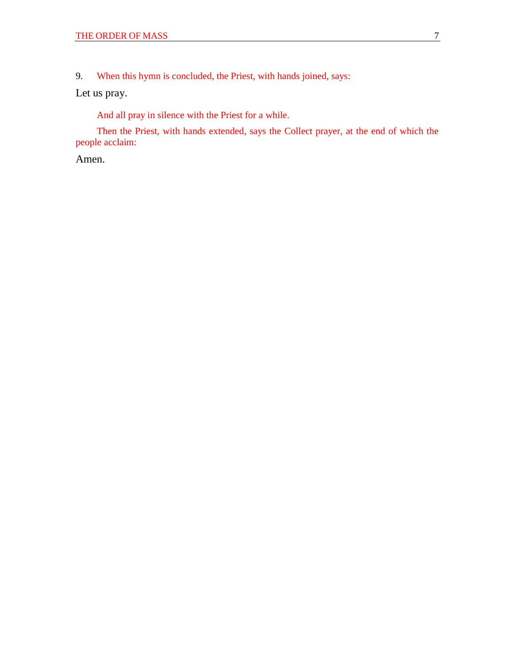9. When this hymn is concluded, the Priest, with hands joined, says:

Let us pray.

And all pray in silence with the Priest for a while.

Then the Priest, with hands extended, says the Collect prayer, at the end of which the people acclaim:

Amen.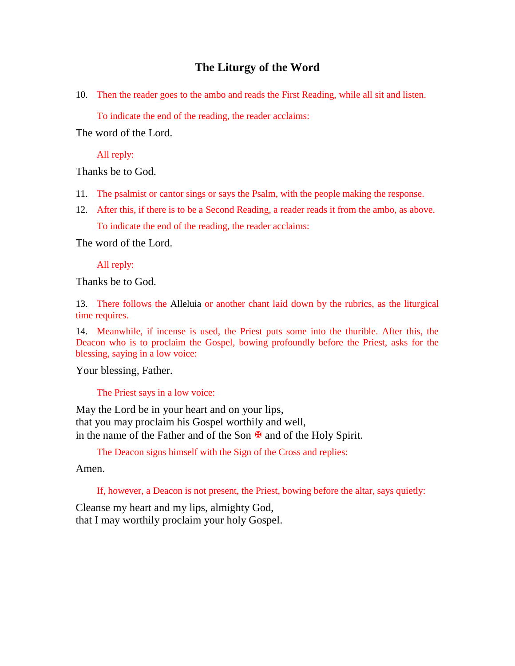# **The Liturgy of the Word**

10. Then the reader goes to the ambo and reads the First Reading, while all sit and listen.

To indicate the end of the reading, the reader acclaims:

The word of the Lord.

All reply:

Thanks be to God.

- 11. The psalmist or cantor sings or says the Psalm, with the people making the response.
- 12. After this, if there is to be a Second Reading, a reader reads it from the ambo, as above. To indicate the end of the reading, the reader acclaims:

The word of the Lord.

All reply:

Thanks be to God.

13. There follows the Alleluia or another chant laid down by the rubrics, as the liturgical time requires.

14. Meanwhile, if incense is used, the Priest puts some into the thurible. After this, the Deacon who is to proclaim the Gospel, bowing profoundly before the Priest, asks for the blessing, saying in a low voice:

Your blessing, Father.

The Priest says in a low voice:

May the Lord be in your heart and on your lips, that you may proclaim his Gospel worthily and well, in the name of the Father and of the Son  $\mathbb{F}$  and of the Holy Spirit.

The Deacon signs himself with the Sign of the Cross and replies:

Amen.

If, however, a Deacon is not present, the Priest, bowing before the altar, says quietly:

Cleanse my heart and my lips, almighty God, that I may worthily proclaim your holy Gospel.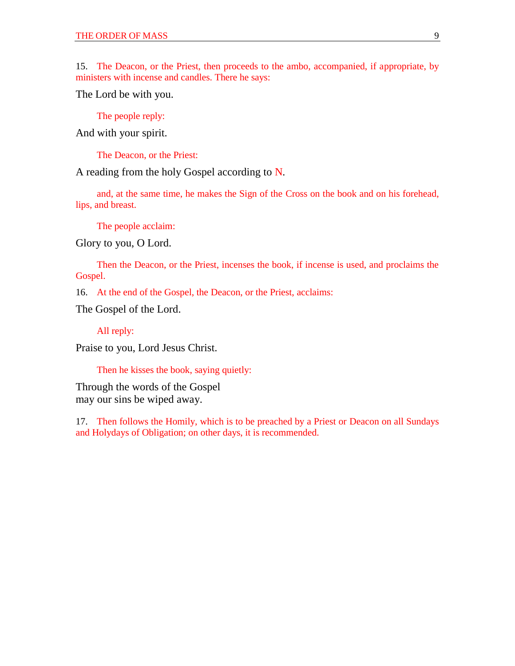15. The Deacon, or the Priest, then proceeds to the ambo, accompanied, if appropriate, by ministers with incense and candles. There he says:

The Lord be with you.

The people reply:

And with your spirit.

The Deacon, or the Priest:

A reading from the holy Gospel according to N*.*

and, at the same time, he makes the Sign of the Cross on the book and on his forehead, lips, and breast.

The people acclaim:

Glory to you, O Lord.

Then the Deacon, or the Priest, incenses the book, if incense is used, and proclaims the Gospel.

16. At the end of the Gospel, the Deacon, or the Priest, acclaims:

The Gospel of the Lord.

All reply:

Praise to you, Lord Jesus Christ.

Then he kisses the book, saying quietly:

Through the words of the Gospel may our sins be wiped away.

17. Then follows the Homily, which is to be preached by a Priest or Deacon on all Sundays and Holydays of Obligation; on other days, it is recommended.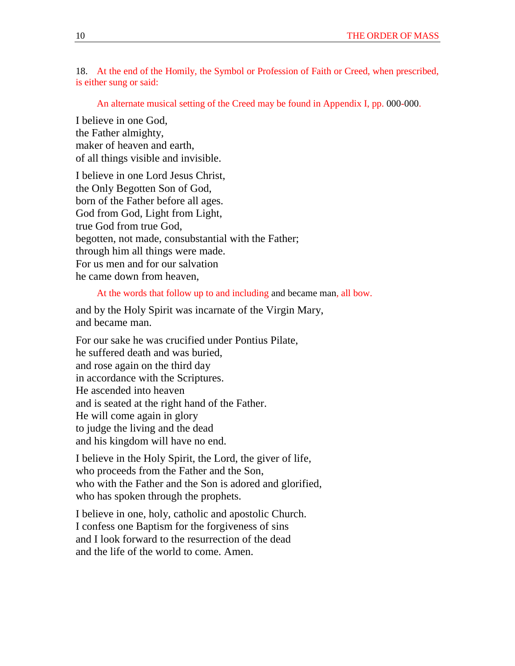18. At the end of the Homily, the Symbol or Profession of Faith or Creed, when prescribed, is either sung or said:

An alternate musical setting of the Creed may be found in Appendix I, pp. 000-000.

I believe in one God, the Father almighty, maker of heaven and earth, of all things visible and invisible.

I believe in one Lord Jesus Christ, the Only Begotten Son of God, born of the Father before all ages. God from God, Light from Light, true God from true God, begotten, not made, consubstantial with the Father; through him all things were made. For us men and for our salvation he came down from heaven,

#### At the words that follow up to and including and became man, all bow.

and by the Holy Spirit was incarnate of the Virgin Mary, and became man.

For our sake he was crucified under Pontius Pilate, he suffered death and was buried, and rose again on the third day in accordance with the Scriptures. He ascended into heaven and is seated at the right hand of the Father. He will come again in glory to judge the living and the dead and his kingdom will have no end.

I believe in the Holy Spirit, the Lord, the giver of life, who proceeds from the Father and the Son, who with the Father and the Son is adored and glorified, who has spoken through the prophets.

I believe in one, holy, catholic and apostolic Church. I confess one Baptism for the forgiveness of sins and I look forward to the resurrection of the dead and the life of the world to come. Amen.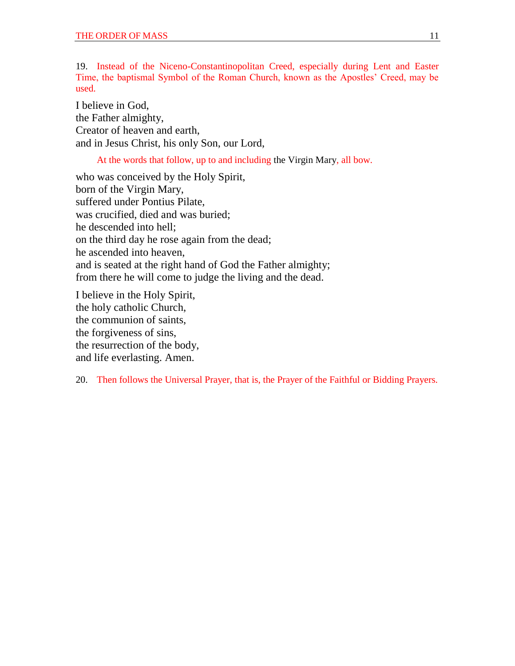19. Instead of the Niceno-Constantinopolitan Creed, especially during Lent and Easter Time, the baptismal Symbol of the Roman Church, known as the Apostles' Creed, may be used.

I believe in God, the Father almighty, Creator of heaven and earth, and in Jesus Christ, his only Son, our Lord,

At the words that follow, up to and including the Virgin Mary, all bow.

who was conceived by the Holy Spirit, born of the Virgin Mary, suffered under Pontius Pilate, was crucified, died and was buried; he descended into hell; on the third day he rose again from the dead; he ascended into heaven, and is seated at the right hand of God the Father almighty; from there he will come to judge the living and the dead.

I believe in the Holy Spirit, the holy catholic Church, the communion of saints, the forgiveness of sins, the resurrection of the body, and life everlasting. Amen.

20. Then follows the Universal Prayer, that is, the Prayer of the Faithful or Bidding Prayers.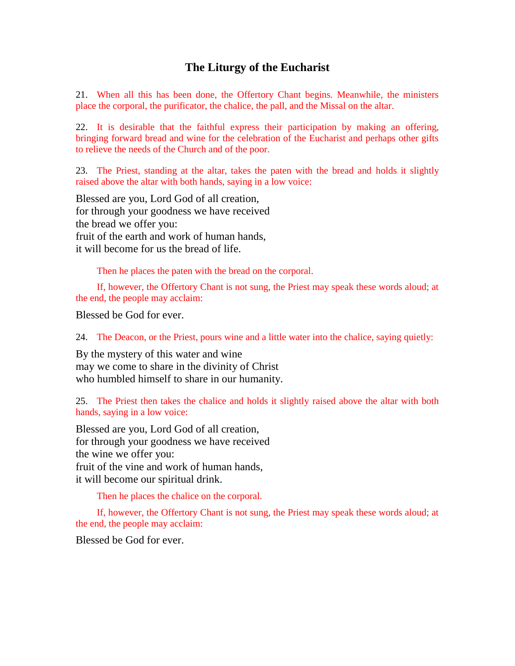# **The Liturgy of the Eucharist**

21. When all this has been done, the Offertory Chant begins. Meanwhile, the ministers place the corporal, the purificator, the chalice, the pall, and the Missal on the altar.

22. It is desirable that the faithful express their participation by making an offering, bringing forward bread and wine for the celebration of the Eucharist and perhaps other gifts to relieve the needs of the Church and of the poor.

23. The Priest, standing at the altar, takes the paten with the bread and holds it slightly raised above the altar with both hands, saying in a low voice:

Blessed are you, Lord God of all creation, for through your goodness we have received the bread we offer you: fruit of the earth and work of human hands, it will become for us the bread of life.

Then he places the paten with the bread on the corporal.

If, however, the Offertory Chant is not sung, the Priest may speak these words aloud; at the end, the people may acclaim:

Blessed be God for ever.

24. The Deacon, or the Priest, pours wine and a little water into the chalice, saying quietly:

By the mystery of this water and wine may we come to share in the divinity of Christ who humbled himself to share in our humanity.

25. The Priest then takes the chalice and holds it slightly raised above the altar with both hands, saying in a low voice:

Blessed are you, Lord God of all creation, for through your goodness we have received the wine we offer you: fruit of the vine and work of human hands, it will become our spiritual drink.

Then he places the chalice on the corporal.

If, however, the Offertory Chant is not sung, the Priest may speak these words aloud; at the end, the people may acclaim:

Blessed be God for ever.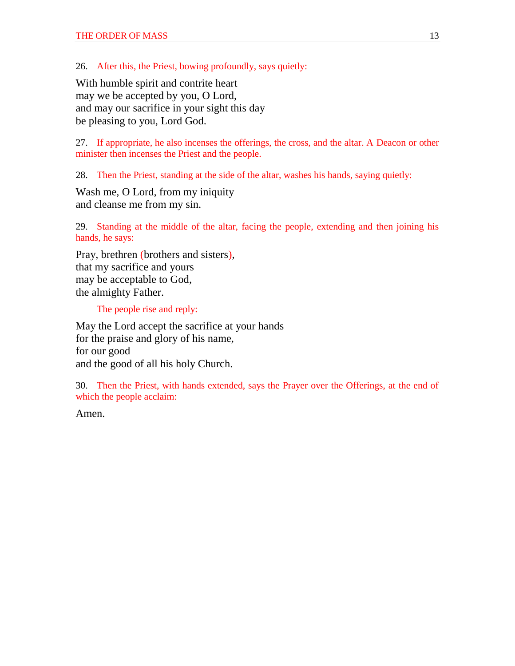26. After this, the Priest, bowing profoundly, says quietly:

With humble spirit and contrite heart may we be accepted by you, O Lord, and may our sacrifice in your sight this day be pleasing to you, Lord God.

27. If appropriate, he also incenses the offerings, the cross, and the altar. A Deacon or other minister then incenses the Priest and the people.

28. Then the Priest, standing at the side of the altar, washes his hands, saying quietly:

Wash me, O Lord, from my iniquity and cleanse me from my sin.

29. Standing at the middle of the altar, facing the people, extending and then joining his hands, he says:

Pray, brethren (brothers and sisters), that my sacrifice and yours may be acceptable to God, the almighty Father.

The people rise and reply:

May the Lord accept the sacrifice at your hands for the praise and glory of his name, for our good and the good of all his holy Church.

30. Then the Priest, with hands extended, says the Prayer over the Offerings, at the end of which the people acclaim:

Amen.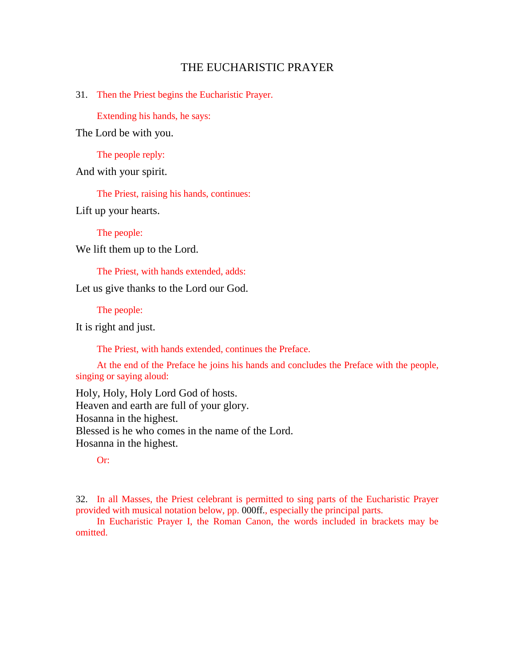## THE EUCHARISTIC PRAYER

31. Then the Priest begins the Eucharistic Prayer.

Extending his hands, he says:

The Lord be with you.

The people reply:

And with your spirit.

The Priest, raising his hands, continues:

Lift up your hearts.

The people:

We lift them up to the Lord.

The Priest, with hands extended, adds:

Let us give thanks to the Lord our God.

The people:

It is right and just.

The Priest, with hands extended, continues the Preface.

At the end of the Preface he joins his hands and concludes the Preface with the people, singing or saying aloud:

Holy, Holy, Holy Lord God of hosts. Heaven and earth are full of your glory. Hosanna in the highest. Blessed is he who comes in the name of the Lord. Hosanna in the highest.

Or:

32. In all Masses, the Priest celebrant is permitted to sing parts of the Eucharistic Prayer provided with musical notation below, pp. 000ff., especially the principal parts.

In Eucharistic Prayer I, the Roman Canon, the words included in brackets may be omitted.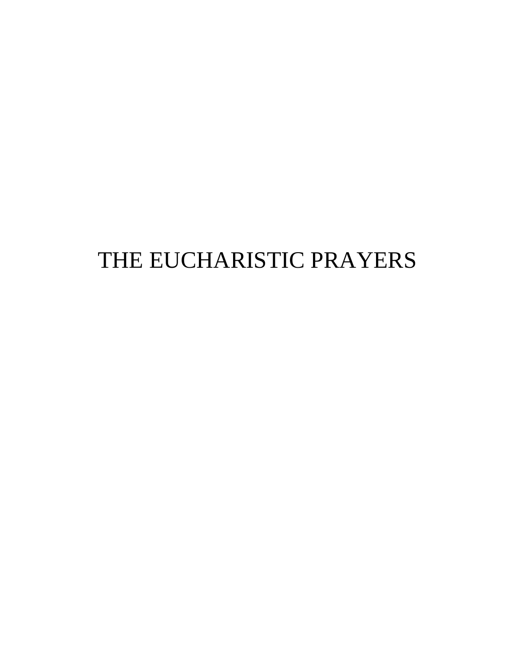# THE EUCHARISTIC PRAYERS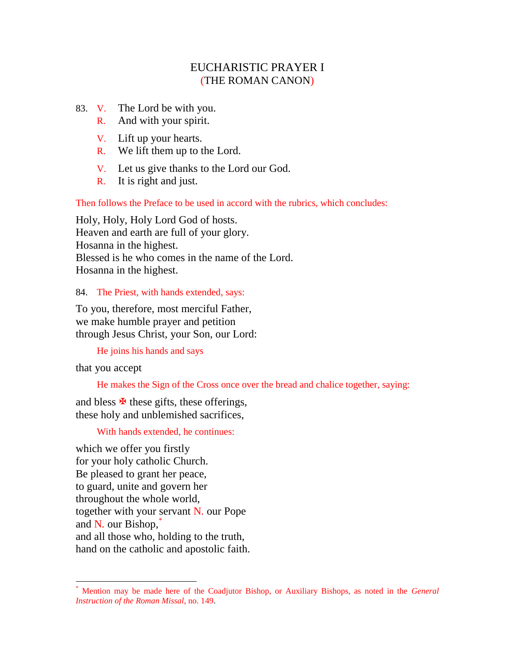# EUCHARISTIC PRAYER I (THE ROMAN CANON)

- 83. V. The Lord be with you.
	- R. And with your spirit.
	- V. Lift up your hearts.
	- R. We lift them up to the Lord.
	- V. Let us give thanks to the Lord our God.
	- R. It is right and just.

Then follows the Preface to be used in accord with the rubrics, which concludes:

Holy, Holy, Holy Lord God of hosts. Heaven and earth are full of your glory. Hosanna in the highest. Blessed is he who comes in the name of the Lord. Hosanna in the highest.

## 84. The Priest, with hands extended, says:

To you, therefore, most merciful Father, we make humble prayer and petition through Jesus Christ, your Son, our Lord:

He joins his hands and says

that you accept

 $\overline{a}$ 

He makes the Sign of the Cross once over the bread and chalice together, saying:

and bless  $\mathbf{\Psi}$  these gifts, these offerings, these holy and unblemished sacrifices,

With hands extended, he continues:

which we offer you firstly for your holy catholic Church. Be pleased to grant her peace, to guard, unite and govern her throughout the whole world, together with your servant N*.* our Pope and N. our Bishop, and all those who, holding to the truth, hand on the catholic and apostolic faith.

<sup>\*</sup> Mention may be made here of the Coadjutor Bishop, or Auxiliary Bishops, as noted in the *General Instruction of the Roman Missal*, no. 149.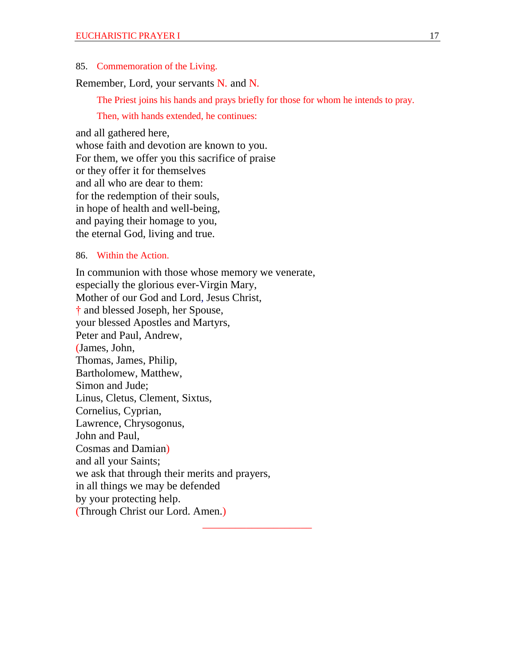85. Commemoration of the Living.

Remember, Lord, your servants N*.* and N*.*

The Priest joins his hands and prays briefly for those for whom he intends to pray.

\_\_\_\_\_\_\_\_\_\_\_\_\_\_\_\_\_\_\_\_

Then, with hands extended, he continues:

and all gathered here,

whose faith and devotion are known to you. For them, we offer you this sacrifice of praise or they offer it for themselves and all who are dear to them: for the redemption of their souls, in hope of health and well-being, and paying their homage to you, the eternal God, living and true.

#### 86. Within the Action.

In communion with those whose memory we venerate, especially the glorious ever-Virgin Mary, Mother of our God and Lord, Jesus Christ, † and blessed Joseph, her Spouse, your blessed Apostles and Martyrs, Peter and Paul, Andrew, (James, John, Thomas, James, Philip, Bartholomew, Matthew, Simon and Jude; Linus, Cletus, Clement, Sixtus, Cornelius, Cyprian, Lawrence, Chrysogonus, John and Paul, Cosmas and Damian) and all your Saints; we ask that through their merits and prayers, in all things we may be defended by your protecting help. (Through Christ our Lord. Amen.)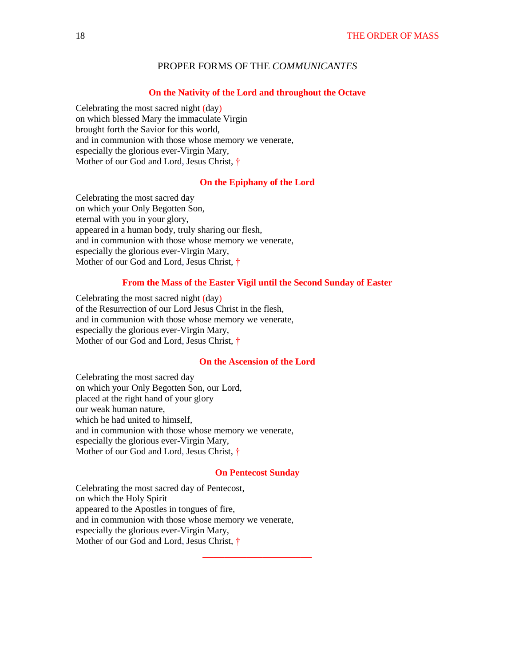## PROPER FORMS OF THE *COMMUNICANTES*

#### **On the Nativity of the Lord and throughout the Octave**

Celebrating the most sacred night (day) on which blessed Mary the immaculate Virgin brought forth the Savior for this world, and in communion with those whose memory we venerate, especially the glorious ever-Virgin Mary, Mother of our God and Lord, Jesus Christ, †

#### **On the Epiphany of the Lord**

Celebrating the most sacred day on which your Only Begotten Son, eternal with you in your glory, appeared in a human body, truly sharing our flesh, and in communion with those whose memory we venerate, especially the glorious ever-Virgin Mary, Mother of our God and Lord, Jesus Christ, †

#### **From the Mass of the Easter Vigil until the Second Sunday of Easter**

Celebrating the most sacred night (day) of the Resurrection of our Lord Jesus Christ in the flesh, and in communion with those whose memory we venerate, especially the glorious ever-Virgin Mary, Mother of our God and Lord, Jesus Christ, †

#### **On the Ascension of the Lord**

Celebrating the most sacred day on which your Only Begotten Son, our Lord, placed at the right hand of your glory our weak human nature, which he had united to himself, and in communion with those whose memory we venerate, especially the glorious ever-Virgin Mary, Mother of our God and Lord, Jesus Christ,  $\dagger$ 

#### **On Pentecost Sunday**

\_\_\_\_\_\_\_\_\_\_\_\_\_\_\_\_\_\_\_\_

Celebrating the most sacred day of Pentecost, on which the Holy Spirit appeared to the Apostles in tongues of fire, and in communion with those whose memory we venerate, especially the glorious ever-Virgin Mary, Mother of our God and Lord, Jesus Christ, †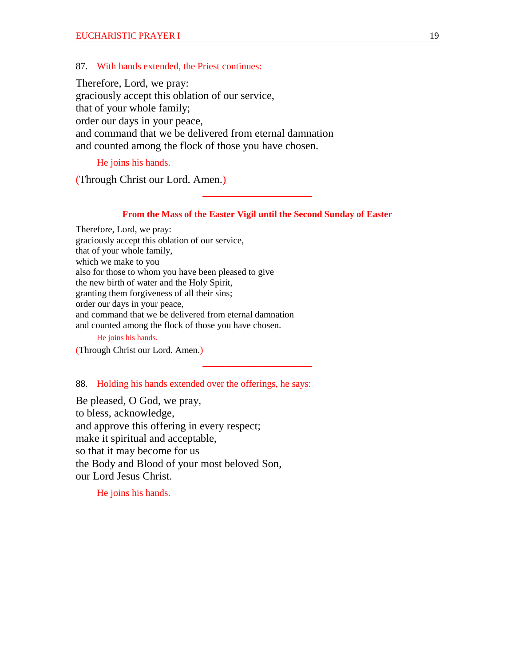#### 87. With hands extended, the Priest continues:

Therefore, Lord, we pray: graciously accept this oblation of our service, that of your whole family; order our days in your peace, and command that we be delivered from eternal damnation and counted among the flock of those you have chosen.

#### He joins his hands.

(Through Christ our Lord. Amen.)

#### **From the Mass of the Easter Vigil until the Second Sunday of Easter**

\_\_\_\_\_\_\_\_\_\_\_\_\_\_\_\_\_\_\_\_

\_\_\_\_\_\_\_\_\_\_\_\_\_\_\_\_\_\_\_\_

Therefore, Lord, we pray: graciously accept this oblation of our service, that of your whole family, which we make to you also for those to whom you have been pleased to give the new birth of water and the Holy Spirit, granting them forgiveness of all their sins; order our days in your peace, and command that we be delivered from eternal damnation and counted among the flock of those you have chosen.

#### He joins his hands.

(Through Christ our Lord. Amen.)

88. Holding his hands extended over the offerings, he says:

Be pleased, O God, we pray, to bless, acknowledge, and approve this offering in every respect; make it spiritual and acceptable, so that it may become for us the Body and Blood of your most beloved Son, our Lord Jesus Christ.

He joins his hands.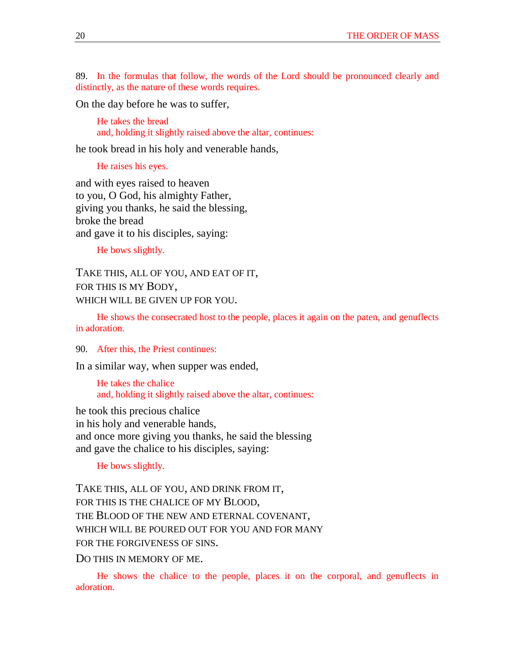89. In the formulas that follow, the words of the Lord should be pronounced clearly and distinctly, as the nature of these words requires.

On the day before he was to suffer,

He takes the bread and, holding it slightly raised above the altar, continues:

he took bread in his holy and venerable hands,

He raises his eyes.

and with eyes raised to heaven to you, O God, his almighty Father, giving you thanks, he said the blessing, broke the bread and gave it to his disciples, saying:

He bows slightly.

TAKE THIS, ALL OF YOU, AND EAT OF IT, FOR THIS IS MY BODY, WHICH WILL BE GIVEN UP FOR YOU.

He shows the consecrated host to the people, places it again on the paten, and genuflects in adoration.

90. After this, the Priest continues:

In a similar way, when supper was ended,

He takes the chalice and, holding it slightly raised above the altar, continues:

he took this precious chalice in his holy and venerable hands, and once more giving you thanks, he said the blessing and gave the chalice to his disciples, saying:

He bows slightly.

TAKE THIS, ALL OF YOU, AND DRINK FROM IT, FOR THIS IS THE CHALICE OF MY BLOOD, THE BLOOD OF THE NEW AND ETERNAL COVENANT, WHICH WILL BE POURED OUT FOR YOU AND FOR MANY FOR THE FORGIVENESS OF SINS.

## DO THIS IN MEMORY OF ME.

He shows the chalice to the people, places it on the corporal, and genuflects in adoration.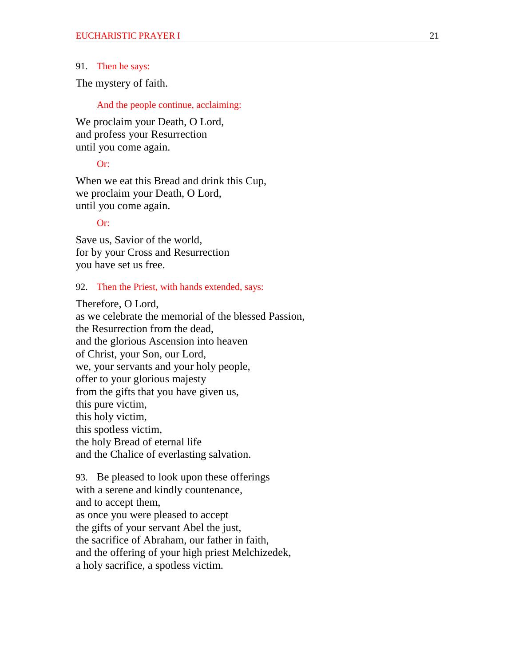#### 91. Then he says:

The mystery of faith.

#### And the people continue, acclaiming:

We proclaim your Death, O Lord, and profess your Resurrection until you come again.

### Or:

When we eat this Bread and drink this Cup, we proclaim your Death, O Lord, until you come again.

Or:

Save us, Savior of the world, for by your Cross and Resurrection you have set us free.

#### 92. Then the Priest, with hands extended, says:

Therefore, O Lord, as we celebrate the memorial of the blessed Passion, the Resurrection from the dead, and the glorious Ascension into heaven of Christ, your Son, our Lord, we, your servants and your holy people, offer to your glorious majesty from the gifts that you have given us, this pure victim, this holy victim, this spotless victim, the holy Bread of eternal life and the Chalice of everlasting salvation.

93. Be pleased to look upon these offerings with a serene and kindly countenance, and to accept them, as once you were pleased to accept the gifts of your servant Abel the just, the sacrifice of Abraham, our father in faith, and the offering of your high priest Melchizedek, a holy sacrifice, a spotless victim.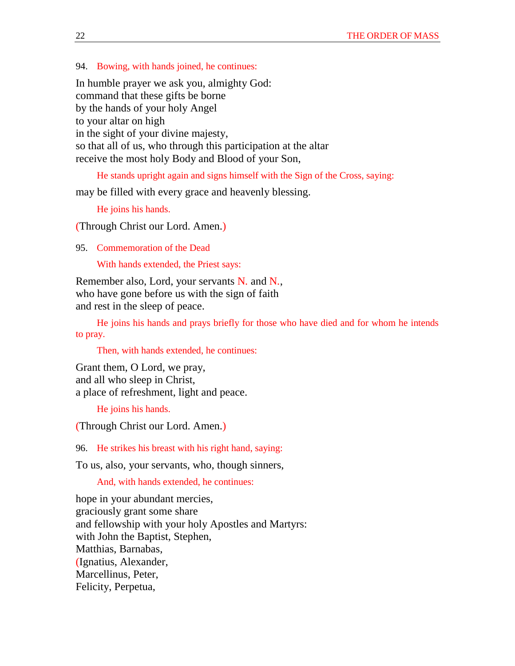94. Bowing, with hands joined, he continues:

In humble prayer we ask you, almighty God: command that these gifts be borne by the hands of your holy Angel to your altar on high in the sight of your divine majesty, so that all of us, who through this participation at the altar receive the most holy Body and Blood of your Son,

He stands upright again and signs himself with the Sign of the Cross, saying:

may be filled with every grace and heavenly blessing.

He joins his hands.

(Through Christ our Lord. Amen.)

95. Commemoration of the Dead

With hands extended, the Priest says:

Remember also, Lord, your servants N*.* and N*.*, who have gone before us with the sign of faith and rest in the sleep of peace.

He joins his hands and prays briefly for those who have died and for whom he intends to pray.

Then, with hands extended, he continues:

Grant them, O Lord, we pray, and all who sleep in Christ, a place of refreshment, light and peace.

He joins his hands.

(Through Christ our Lord. Amen.)

96. He strikes his breast with his right hand, saying:

To us, also, your servants, who, though sinners,

And, with hands extended, he continues:

hope in your abundant mercies, graciously grant some share and fellowship with your holy Apostles and Martyrs: with John the Baptist, Stephen, Matthias, Barnabas, (Ignatius, Alexander, Marcellinus, Peter, Felicity, Perpetua,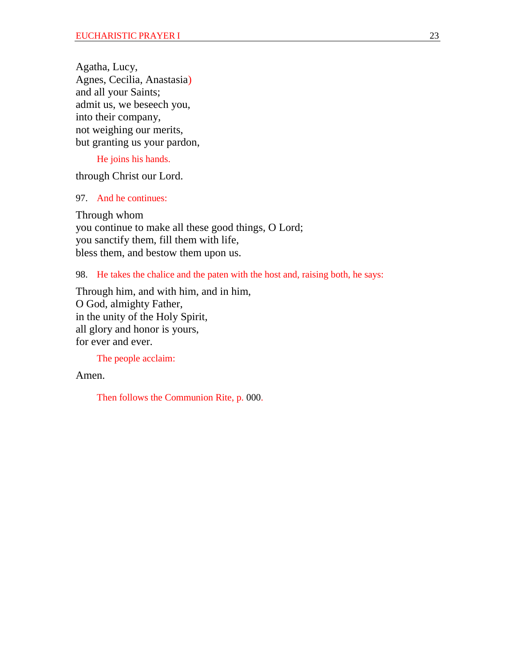Agatha, Lucy, Agnes, Cecilia, Anastasia) and all your Saints; admit us, we beseech you, into their company, not weighing our merits, but granting us your pardon,

He joins his hands.

through Christ our Lord.

97. And he continues:

Through whom you continue to make all these good things, O Lord; you sanctify them, fill them with life, bless them, and bestow them upon us.

98. He takes the chalice and the paten with the host and, raising both, he says:

Through him, and with him, and in him, O God, almighty Father, in the unity of the Holy Spirit, all glory and honor is yours, for ever and ever.

The people acclaim:

Amen.

Then follows the Communion Rite, p. 000.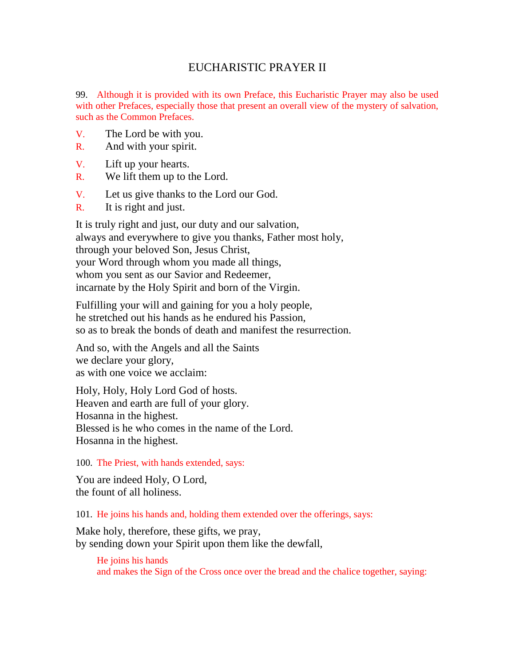# EUCHARISTIC PRAYER II

99. Although it is provided with its own Preface, this Eucharistic Prayer may also be used with other Prefaces, especially those that present an overall view of the mystery of salvation, such as the Common Prefaces.

- V. The Lord be with you.
- R. And with your spirit.
- V. Lift up your hearts.
- R. We lift them up to the Lord.
- V. Let us give thanks to the Lord our God.
- R. It is right and just.

It is truly right and just, our duty and our salvation, always and everywhere to give you thanks, Father most holy, through your beloved Son, Jesus Christ, your Word through whom you made all things, whom you sent as our Savior and Redeemer, incarnate by the Holy Spirit and born of the Virgin.

Fulfilling your will and gaining for you a holy people, he stretched out his hands as he endured his Passion, so as to break the bonds of death and manifest the resurrection.

And so, with the Angels and all the Saints we declare your glory, as with one voice we acclaim:

Holy, Holy, Holy Lord God of hosts. Heaven and earth are full of your glory. Hosanna in the highest. Blessed is he who comes in the name of the Lord. Hosanna in the highest.

100. The Priest, with hands extended, says:

You are indeed Holy, O Lord, the fount of all holiness.

101. He joins his hands and, holding them extended over the offerings, says:

Make holy, therefore, these gifts, we pray, by sending down your Spirit upon them like the dewfall,

He joins his hands and makes the Sign of the Cross once over the bread and the chalice together, saying: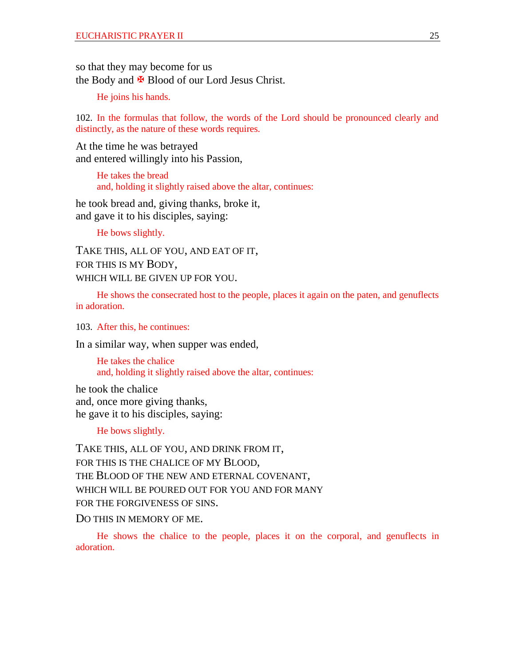so that they may become for us the Body and  $\overline{\mathbb{F}}$  Blood of our Lord Jesus Christ.

He joins his hands.

102. In the formulas that follow, the words of the Lord should be pronounced clearly and distinctly, as the nature of these words requires.

At the time he was betrayed and entered willingly into his Passion,

> He takes the bread and, holding it slightly raised above the altar, continues:

he took bread and, giving thanks, broke it, and gave it to his disciples, saying:

He bows slightly.

TAKE THIS, ALL OF YOU, AND EAT OF IT, FOR THIS IS MY BODY, WHICH WILL BE GIVEN UP FOR YOU.

He shows the consecrated host to the people, places it again on the paten, and genuflects in adoration.

103. After this, he continues:

In a similar way, when supper was ended,

He takes the chalice and, holding it slightly raised above the altar, continues:

he took the chalice and, once more giving thanks, he gave it to his disciples, saying:

He bows slightly.

TAKE THIS, ALL OF YOU, AND DRINK FROM IT, FOR THIS IS THE CHALICE OF MY BLOOD, THE BLOOD OF THE NEW AND ETERNAL COVENANT, WHICH WILL BE POURED OUT FOR YOU AND FOR MANY FOR THE FORGIVENESS OF SINS.

DO THIS IN MEMORY OF ME.

He shows the chalice to the people, places it on the corporal, and genuflects in adoration.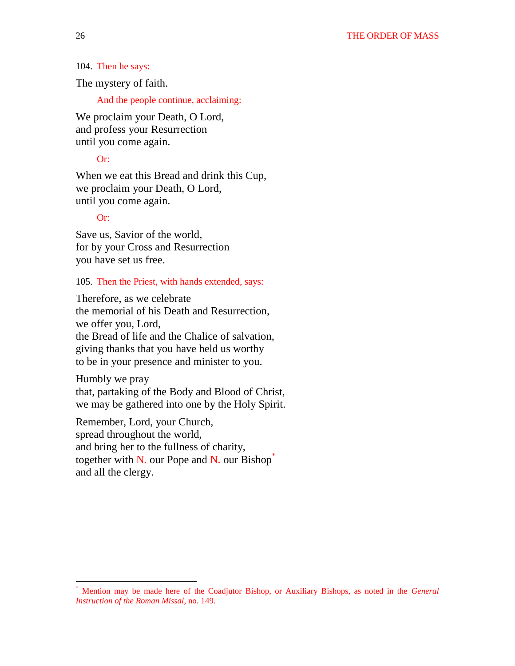104. Then he says:

The mystery of faith.

And the people continue, acclaiming:

We proclaim your Death, O Lord, and profess your Resurrection until you come again.

## Or:

When we eat this Bread and drink this Cup, we proclaim your Death, O Lord, until you come again.

## Or:

 $\overline{a}$ 

Save us, Savior of the world, for by your Cross and Resurrection you have set us free.

## 105. Then the Priest, with hands extended, says:

Therefore, as we celebrate the memorial of his Death and Resurrection, we offer you, Lord, the Bread of life and the Chalice of salvation, giving thanks that you have held us worthy to be in your presence and minister to you.

Humbly we pray that, partaking of the Body and Blood of Christ, we may be gathered into one by the Holy Spirit.

Remember, Lord, your Church, spread throughout the world, and bring her to the fullness of charity, together with N*.* our Pope and N*.* our Bishop\* and all the clergy.

<sup>\*</sup> Mention may be made here of the Coadjutor Bishop, or Auxiliary Bishops, as noted in the *General Instruction of the Roman Missal*, no. 149.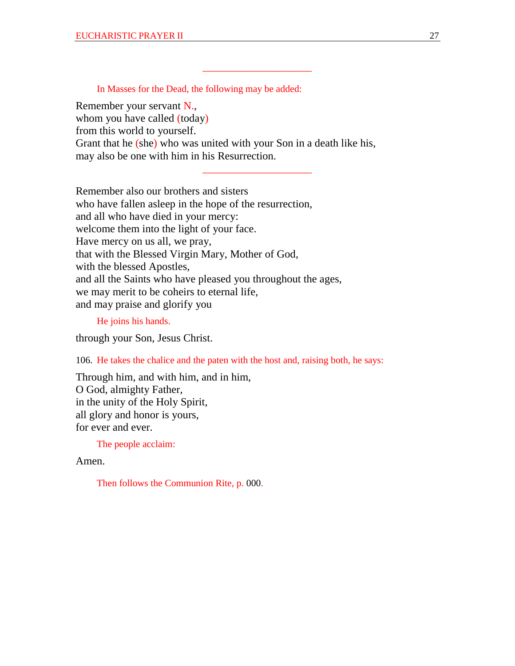In Masses for the Dead, the following may be added:

Remember your servant N., whom you have called (today) from this world to yourself. Grant that he (she) who was united with your Son in a death like his, may also be one with him in his Resurrection.

\_\_\_\_\_\_\_\_\_\_\_\_\_\_\_\_\_\_\_\_

\_\_\_\_\_\_\_\_\_\_\_\_\_\_\_\_\_\_\_\_

Remember also our brothers and sisters who have fallen asleep in the hope of the resurrection, and all who have died in your mercy: welcome them into the light of your face. Have mercy on us all, we pray, that with the Blessed Virgin Mary, Mother of God, with the blessed Apostles, and all the Saints who have pleased you throughout the ages, we may merit to be coheirs to eternal life, and may praise and glorify you

He joins his hands.

through your Son, Jesus Christ.

106. He takes the chalice and the paten with the host and, raising both, he says:

Through him, and with him, and in him, O God, almighty Father, in the unity of the Holy Spirit, all glory and honor is yours, for ever and ever.

The people acclaim:

Amen.

Then follows the Communion Rite, p. 000.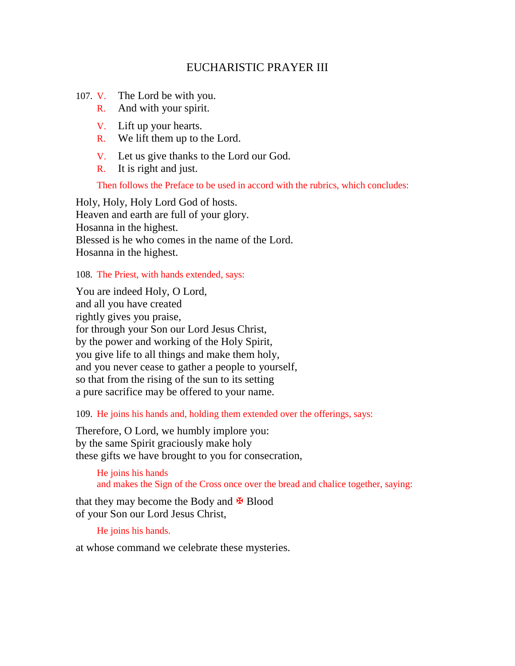# EUCHARISTIC PRAYER III

- 107. V. The Lord be with you.
	- R. And with your spirit.
	- V. Lift up your hearts.
	- R. We lift them up to the Lord.
	- V. Let us give thanks to the Lord our God.
	- R. It is right and just.

Then follows the Preface to be used in accord with the rubrics, which concludes:

Holy, Holy, Holy Lord God of hosts. Heaven and earth are full of your glory. Hosanna in the highest. Blessed is he who comes in the name of the Lord. Hosanna in the highest.

## 108. The Priest, with hands extended, says:

You are indeed Holy, O Lord, and all you have created rightly gives you praise, for through your Son our Lord Jesus Christ, by the power and working of the Holy Spirit, you give life to all things and make them holy, and you never cease to gather a people to yourself, so that from the rising of the sun to its setting a pure sacrifice may be offered to your name.

109. He joins his hands and, holding them extended over the offerings, says:

Therefore, O Lord, we humbly implore you: by the same Spirit graciously make holy these gifts we have brought to you for consecration,

He joins his hands and makes the Sign of the Cross once over the bread and chalice together, saying:

that they may become the Body and  $\mathbb F$  Blood of your Son our Lord Jesus Christ,

He joins his hands.

at whose command we celebrate these mysteries.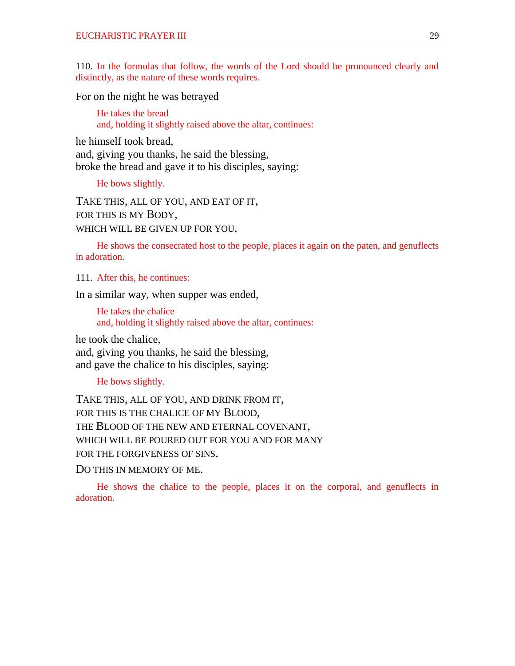110. In the formulas that follow, the words of the Lord should be pronounced clearly and distinctly, as the nature of these words requires.

For on the night he was betrayed

He takes the bread and, holding it slightly raised above the altar, continues:

he himself took bread, and, giving you thanks, he said the blessing, broke the bread and gave it to his disciples, saying:

He bows slightly.

TAKE THIS, ALL OF YOU, AND EAT OF IT, FOR THIS IS MY BODY, WHICH WILL BE GIVEN UP FOR YOU.

He shows the consecrated host to the people, places it again on the paten, and genuflects in adoration.

111. After this, he continues:

In a similar way, when supper was ended,

He takes the chalice and, holding it slightly raised above the altar, continues:

he took the chalice, and, giving you thanks, he said the blessing, and gave the chalice to his disciples, saying:

He bows slightly.

TAKE THIS, ALL OF YOU, AND DRINK FROM IT, FOR THIS IS THE CHALICE OF MY BLOOD, THE BLOOD OF THE NEW AND ETERNAL COVENANT, WHICH WILL BE POURED OUT FOR YOU AND FOR MANY FOR THE FORGIVENESS OF SINS.

DO THIS IN MEMORY OF ME.

He shows the chalice to the people, places it on the corporal, and genuflects in adoration.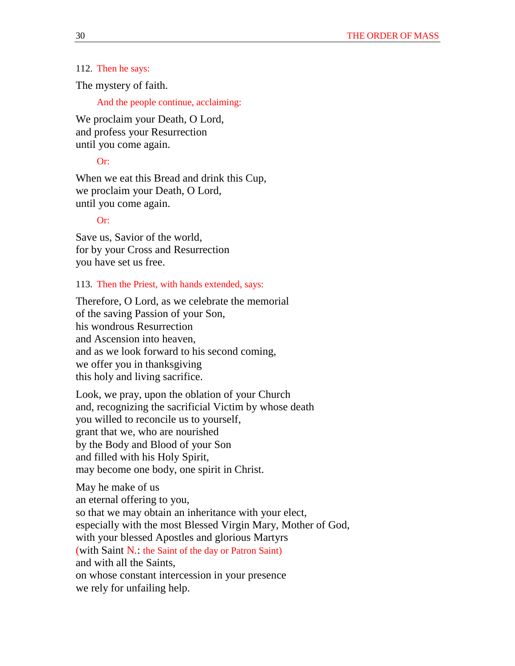112. Then he says:

The mystery of faith.

And the people continue, acclaiming:

We proclaim your Death, O Lord, and profess your Resurrection until you come again.

## Or:

When we eat this Bread and drink this Cup, we proclaim your Death, O Lord, until you come again.

Or:

Save us, Savior of the world, for by your Cross and Resurrection you have set us free.

113. Then the Priest, with hands extended, says:

Therefore, O Lord, as we celebrate the memorial of the saving Passion of your Son, his wondrous Resurrection and Ascension into heaven, and as we look forward to his second coming, we offer you in thanksgiving this holy and living sacrifice.

Look, we pray, upon the oblation of your Church and, recognizing the sacrificial Victim by whose death you willed to reconcile us to yourself, grant that we, who are nourished by the Body and Blood of your Son and filled with his Holy Spirit, may become one body, one spirit in Christ.

May he make of us an eternal offering to you, so that we may obtain an inheritance with your elect, especially with the most Blessed Virgin Mary, Mother of God, with your blessed Apostles and glorious Martyrs (with Saint N*.*: the Saint of the day or Patron Saint) and with all the Saints, on whose constant intercession in your presence we rely for unfailing help.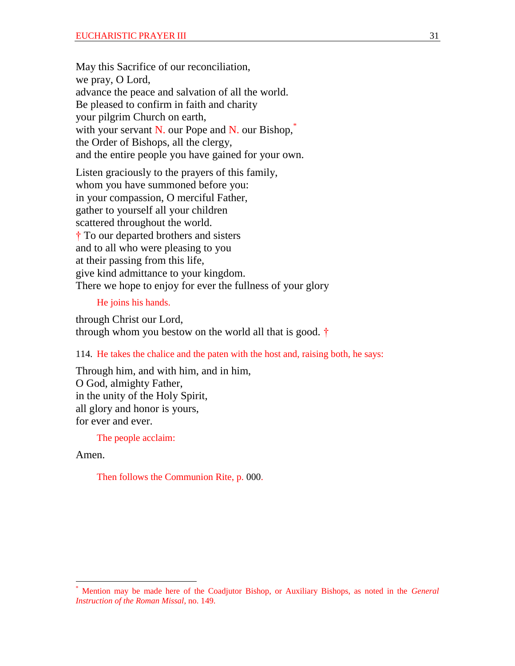May this Sacrifice of our reconciliation, we pray, O Lord, advance the peace and salvation of all the world. Be pleased to confirm in faith and charity your pilgrim Church on earth, with your servant  $N$ . our Pope and  $N$ . our Bishop, the Order of Bishops, all the clergy, and the entire people you have gained for your own.

Listen graciously to the prayers of this family, whom you have summoned before you: in your compassion, O merciful Father, gather to yourself all your children scattered throughout the world. † To our departed brothers and sisters and to all who were pleasing to you at their passing from this life, give kind admittance to your kingdom. There we hope to enjoy for ever the fullness of your glory

#### He joins his hands.

through Christ our Lord, through whom you bestow on the world all that is good.  $\dagger$ 

114. He takes the chalice and the paten with the host and, raising both, he says:

Through him, and with him, and in him, O God, almighty Father, in the unity of the Holy Spirit, all glory and honor is yours, for ever and ever.

The people acclaim:

Amen.

 $\overline{a}$ 

Then follows the Communion Rite, p. 000.

<sup>\*</sup> Mention may be made here of the Coadjutor Bishop, or Auxiliary Bishops, as noted in the *General Instruction of the Roman Missal*, no. 149.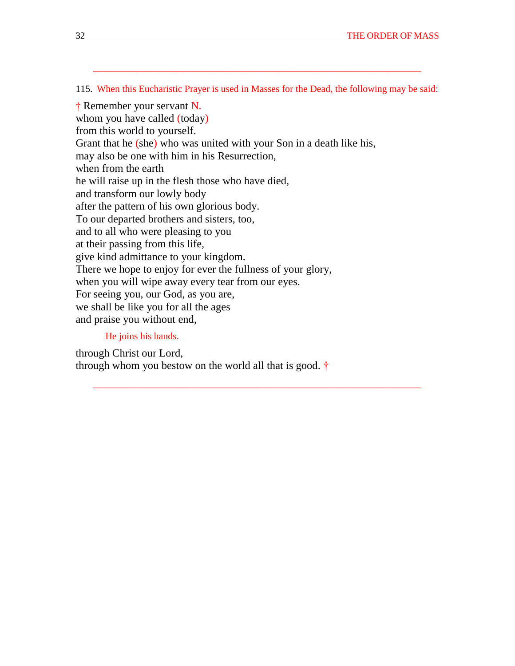115. When this Eucharistic Prayer is used in Masses for the Dead, the following may be said:

\_\_\_\_\_\_\_\_\_\_\_\_\_\_\_\_\_\_\_\_\_\_\_\_\_\_\_\_\_\_\_\_\_\_\_\_\_\_\_\_\_\_\_\_\_\_\_\_\_\_\_\_\_\_\_\_\_\_\_\_

† Remember your servant N*.* whom you have called (today) from this world to yourself. Grant that he (she) who was united with your Son in a death like his, may also be one with him in his Resurrection, when from the earth he will raise up in the flesh those who have died, and transform our lowly body after the pattern of his own glorious body. To our departed brothers and sisters, too, and to all who were pleasing to you at their passing from this life, give kind admittance to your kingdom. There we hope to enjoy for ever the fullness of your glory, when you will wipe away every tear from our eyes. For seeing you, our God, as you are, we shall be like you for all the ages and praise you without end,

## He joins his hands.

through Christ our Lord, through whom you bestow on the world all that is good.  $\dagger$ 

\_\_\_\_\_\_\_\_\_\_\_\_\_\_\_\_\_\_\_\_\_\_\_\_\_\_\_\_\_\_\_\_\_\_\_\_\_\_\_\_\_\_\_\_\_\_\_\_\_\_\_\_\_\_\_\_\_\_\_\_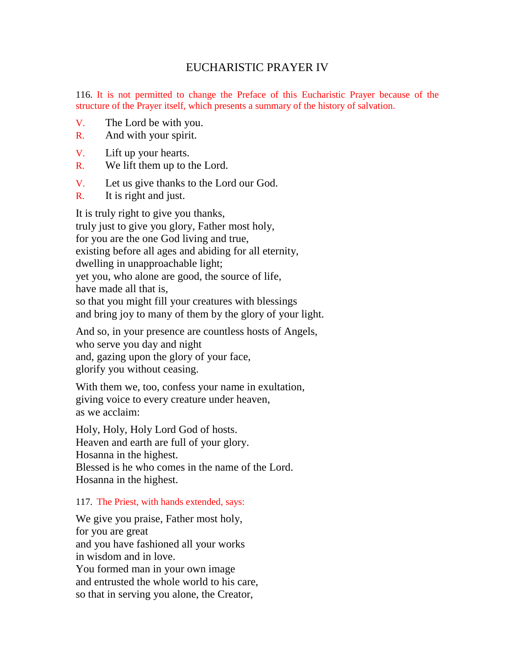# EUCHARISTIC PRAYER IV

116. It is not permitted to change the Preface of this Eucharistic Prayer because of the structure of the Prayer itself, which presents a summary of the history of salvation.

- V. The Lord be with you.
- R. And with your spirit.
- V. Lift up your hearts.
- R. We lift them up to the Lord.
- V. Let us give thanks to the Lord our God.
- R. It is right and just.

It is truly right to give you thanks, truly just to give you glory, Father most holy, for you are the one God living and true, existing before all ages and abiding for all eternity, dwelling in unapproachable light; yet you, who alone are good, the source of life, have made all that is, so that you might fill your creatures with blessings and bring joy to many of them by the glory of your light.

And so, in your presence are countless hosts of Angels, who serve you day and night and, gazing upon the glory of your face, glorify you without ceasing.

With them we, too, confess your name in exultation, giving voice to every creature under heaven, as we acclaim:

Holy, Holy, Holy Lord God of hosts. Heaven and earth are full of your glory. Hosanna in the highest. Blessed is he who comes in the name of the Lord. Hosanna in the highest.

117. The Priest, with hands extended, says:

We give you praise, Father most holy, for you are great and you have fashioned all your works in wisdom and in love. You formed man in your own image and entrusted the whole world to his care,

so that in serving you alone, the Creator,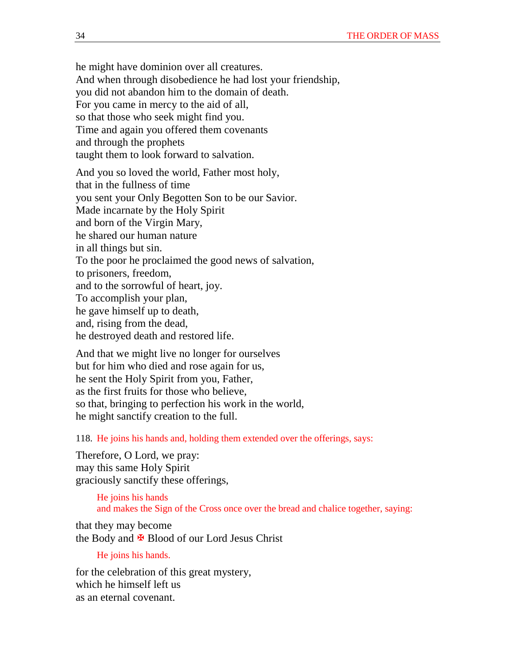he might have dominion over all creatures. And when through disobedience he had lost your friendship, you did not abandon him to the domain of death. For you came in mercy to the aid of all, so that those who seek might find you. Time and again you offered them covenants and through the prophets taught them to look forward to salvation. And you so loved the world, Father most holy, that in the fullness of time you sent your Only Begotten Son to be our Savior. Made incarnate by the Holy Spirit and born of the Virgin Mary, he shared our human nature in all things but sin. To the poor he proclaimed the good news of salvation, to prisoners, freedom, and to the sorrowful of heart, joy.

To accomplish your plan,

he gave himself up to death,

and, rising from the dead,

he destroyed death and restored life.

And that we might live no longer for ourselves but for him who died and rose again for us, he sent the Holy Spirit from you, Father, as the first fruits for those who believe, so that, bringing to perfection his work in the world, he might sanctify creation to the full.

118. He joins his hands and, holding them extended over the offerings, says:

Therefore, O Lord, we pray: may this same Holy Spirit graciously sanctify these offerings,

> He joins his hands and makes the Sign of the Cross once over the bread and chalice together, saying:

that they may become the Body and  $\overline{\mathbf{A}}$  Blood of our Lord Jesus Christ

He joins his hands.

for the celebration of this great mystery, which he himself left us as an eternal covenant.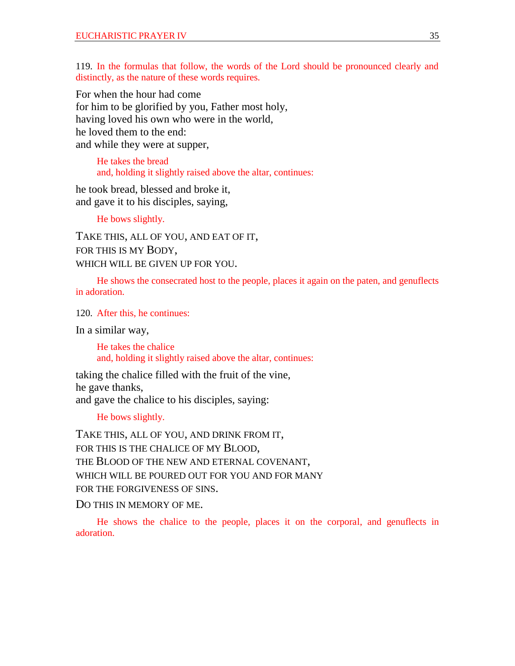119. In the formulas that follow, the words of the Lord should be pronounced clearly and distinctly, as the nature of these words requires.

For when the hour had come for him to be glorified by you, Father most holy, having loved his own who were in the world, he loved them to the end: and while they were at supper,

He takes the bread and, holding it slightly raised above the altar, continues:

he took bread, blessed and broke it, and gave it to his disciples, saying,

He bows slightly.

TAKE THIS, ALL OF YOU, AND EAT OF IT, FOR THIS IS MY BODY, WHICH WILL BE GIVEN UP FOR YOU.

He shows the consecrated host to the people, places it again on the paten, and genuflects in adoration.

120. After this, he continues:

In a similar way,

He takes the chalice and, holding it slightly raised above the altar, continues:

taking the chalice filled with the fruit of the vine, he gave thanks, and gave the chalice to his disciples, saying:

He bows slightly.

TAKE THIS, ALL OF YOU, AND DRINK FROM IT, FOR THIS IS THE CHALICE OF MY BLOOD, THE BLOOD OF THE NEW AND ETERNAL COVENANT, WHICH WILL BE POURED OUT FOR YOU AND FOR MANY FOR THE FORGIVENESS OF SINS.

DO THIS IN MEMORY OF ME.

He shows the chalice to the people, places it on the corporal, and genuflects in adoration.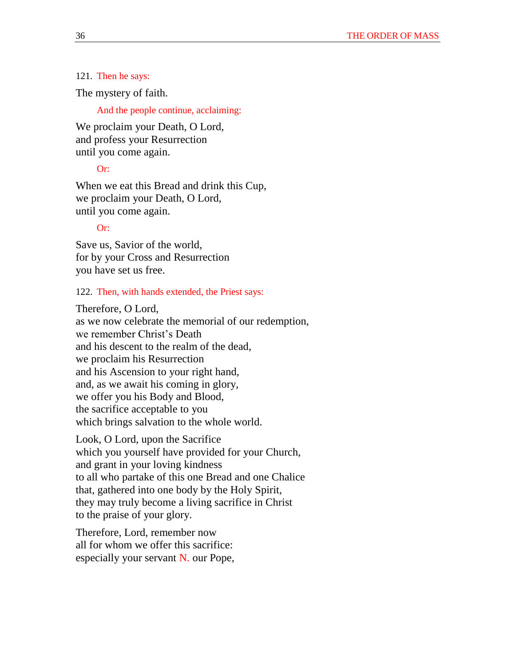## 121. Then he says:

The mystery of faith.

And the people continue, acclaiming:

We proclaim your Death, O Lord, and profess your Resurrection until you come again.

## Or:

When we eat this Bread and drink this Cup, we proclaim your Death, O Lord, until you come again.

## Or:

Save us, Savior of the world, for by your Cross and Resurrection you have set us free.

## 122. Then, with hands extended, the Priest says:

Therefore, O Lord, as we now celebrate the memorial of our redemption, we remember Christ's Death and his descent to the realm of the dead, we proclaim his Resurrection and his Ascension to your right hand, and, as we await his coming in glory, we offer you his Body and Blood, the sacrifice acceptable to you which brings salvation to the whole world.

Look, O Lord, upon the Sacrifice which you yourself have provided for your Church, and grant in your loving kindness to all who partake of this one Bread and one Chalice that, gathered into one body by the Holy Spirit, they may truly become a living sacrifice in Christ to the praise of your glory.

Therefore, Lord, remember now all for whom we offer this sacrifice: especially your servant N*.* our Pope,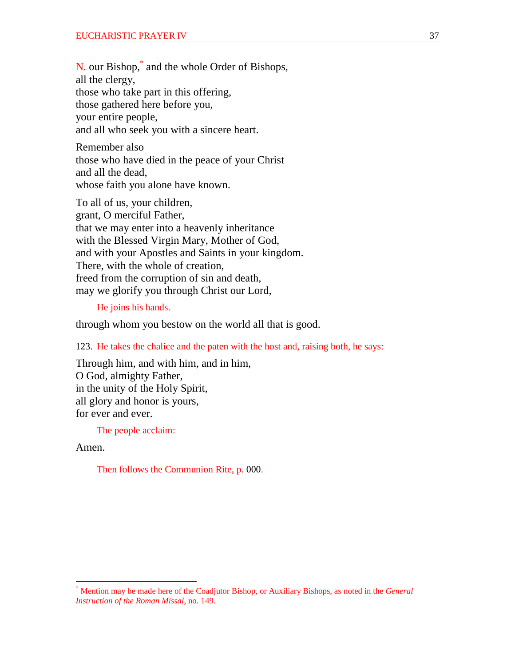N. our Bishop,<sup>\*</sup> and the whole Order of Bishops, all the clergy, those who take part in this offering, those gathered here before you, your entire people, and all who seek you with a sincere heart.

Remember also those who have died in the peace of your Christ and all the dead, whose faith you alone have known.

To all of us, your children, grant, O merciful Father, that we may enter into a heavenly inheritance with the Blessed Virgin Mary, Mother of God, and with your Apostles and Saints in your kingdom. There, with the whole of creation, freed from the corruption of sin and death, may we glorify you through Christ our Lord,

He joins his hands.

through whom you bestow on the world all that is good.

123. He takes the chalice and the paten with the host and, raising both, he says:

Through him, and with him, and in him, O God, almighty Father, in the unity of the Holy Spirit, all glory and honor is yours, for ever and ever.

The people acclaim:

Amen.

 $\overline{a}$ 

Then follows the Communion Rite, p. 000.

<sup>\*</sup> Mention may be made here of the Coadjutor Bishop, or Auxiliary Bishops, as noted in the *General Instruction of the Roman Missal*, no. 149.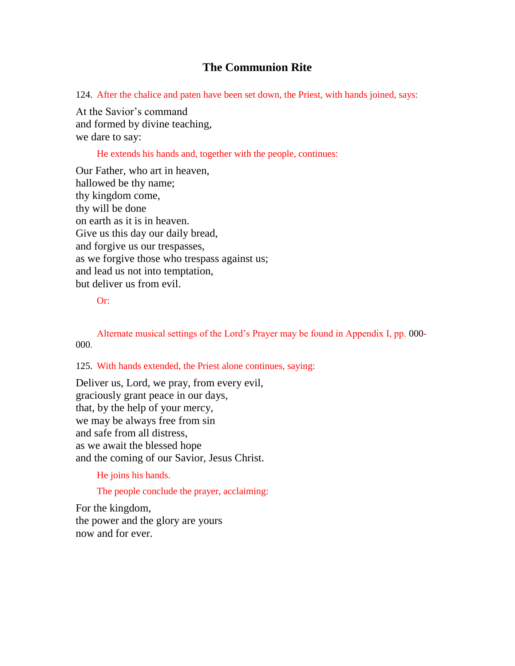# **The Communion Rite**

124. After the chalice and paten have been set down, the Priest, with hands joined, says:

At the Savior's command and formed by divine teaching, we dare to say:

He extends his hands and, together with the people, continues:

Our Father, who art in heaven, hallowed be thy name; thy kingdom come, thy will be done on earth as it is in heaven. Give us this day our daily bread, and forgive us our trespasses, as we forgive those who trespass against us; and lead us not into temptation, but deliver us from evil.

# Or:

Alternate musical settings of the Lord's Prayer may be found in Appendix I, pp. 000- 000.

125. With hands extended, the Priest alone continues, saying:

Deliver us, Lord, we pray, from every evil, graciously grant peace in our days, that, by the help of your mercy, we may be always free from sin and safe from all distress, as we await the blessed hope and the coming of our Savior, Jesus Christ.

He joins his hands.

The people conclude the prayer, acclaiming:

For the kingdom, the power and the glory are yours now and for ever.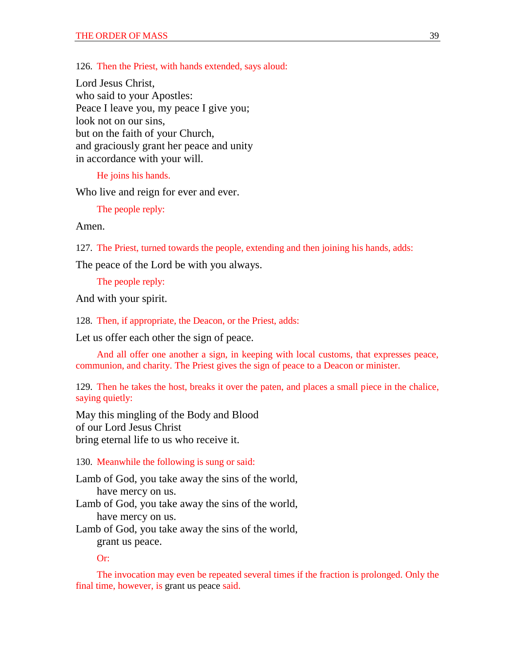126. Then the Priest, with hands extended, says aloud:

Lord Jesus Christ, who said to your Apostles: Peace I leave you, my peace I give you; look not on our sins, but on the faith of your Church, and graciously grant her peace and unity in accordance with your will.

He joins his hands.

Who live and reign for ever and ever.

The people reply:

Amen.

127. The Priest, turned towards the people, extending and then joining his hands, adds:

The peace of the Lord be with you always.

The people reply:

And with your spirit.

128. Then, if appropriate, the Deacon, or the Priest, adds:

Let us offer each other the sign of peace.

And all offer one another a sign, in keeping with local customs, that expresses peace, communion, and charity. The Priest gives the sign of peace to a Deacon or minister.

129. Then he takes the host, breaks it over the paten, and places a small piece in the chalice, saying quietly:

May this mingling of the Body and Blood of our Lord Jesus Christ bring eternal life to us who receive it.

130. Meanwhile the following is sung or said:

Lamb of God, you take away the sins of the world, have mercy on us.

Lamb of God, you take away the sins of the world, have mercy on us.

Lamb of God, you take away the sins of the world, grant us peace.

Or:

The invocation may even be repeated several times if the fraction is prolonged. Only the final time, however, is grant us peace said.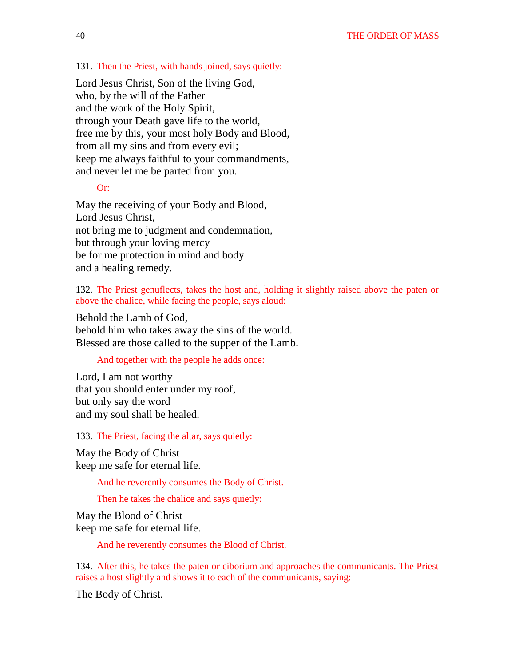# 131. Then the Priest, with hands joined, says quietly:

Lord Jesus Christ, Son of the living God, who, by the will of the Father and the work of the Holy Spirit, through your Death gave life to the world, free me by this, your most holy Body and Blood, from all my sins and from every evil; keep me always faithful to your commandments, and never let me be parted from you.

# Or:

May the receiving of your Body and Blood, Lord Jesus Christ, not bring me to judgment and condemnation, but through your loving mercy be for me protection in mind and body and a healing remedy.

132. The Priest genuflects, takes the host and, holding it slightly raised above the paten or above the chalice, while facing the people, says aloud:

Behold the Lamb of God,

behold him who takes away the sins of the world. Blessed are those called to the supper of the Lamb.

And together with the people he adds once:

Lord, I am not worthy that you should enter under my roof, but only say the word and my soul shall be healed.

133. The Priest, facing the altar, says quietly:

May the Body of Christ keep me safe for eternal life.

And he reverently consumes the Body of Christ.

Then he takes the chalice and says quietly:

May the Blood of Christ keep me safe for eternal life.

And he reverently consumes the Blood of Christ.

134. After this, he takes the paten or ciborium and approaches the communicants. The Priest raises a host slightly and shows it to each of the communicants, saying:

The Body of Christ.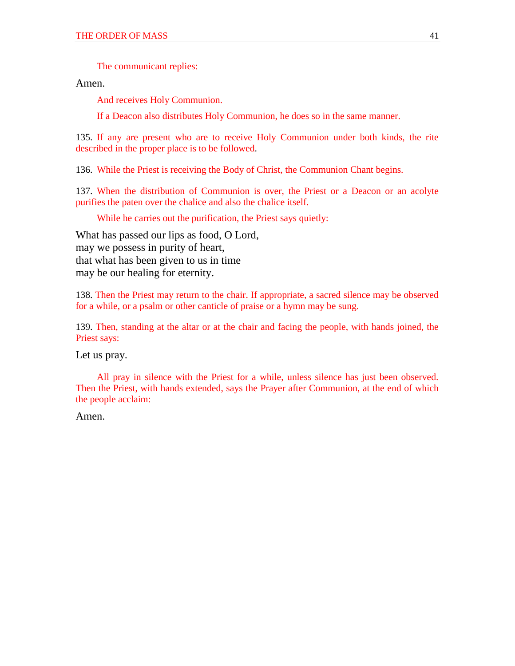The communicant replies:

Amen.

And receives Holy Communion.

If a Deacon also distributes Holy Communion, he does so in the same manner.

135. If any are present who are to receive Holy Communion under both kinds, the rite described in the proper place is to be followed.

136. While the Priest is receiving the Body of Christ, the Communion Chant begins.

137. When the distribution of Communion is over, the Priest or a Deacon or an acolyte purifies the paten over the chalice and also the chalice itself.

While he carries out the purification, the Priest says quietly:

What has passed our lips as food, O Lord, may we possess in purity of heart, that what has been given to us in time may be our healing for eternity.

138. Then the Priest may return to the chair. If appropriate, a sacred silence may be observed for a while, or a psalm or other canticle of praise or a hymn may be sung.

139. Then, standing at the altar or at the chair and facing the people, with hands joined, the Priest says:

Let us pray.

All pray in silence with the Priest for a while, unless silence has just been observed. Then the Priest, with hands extended, says the Prayer after Communion, at the end of which the people acclaim:

Amen.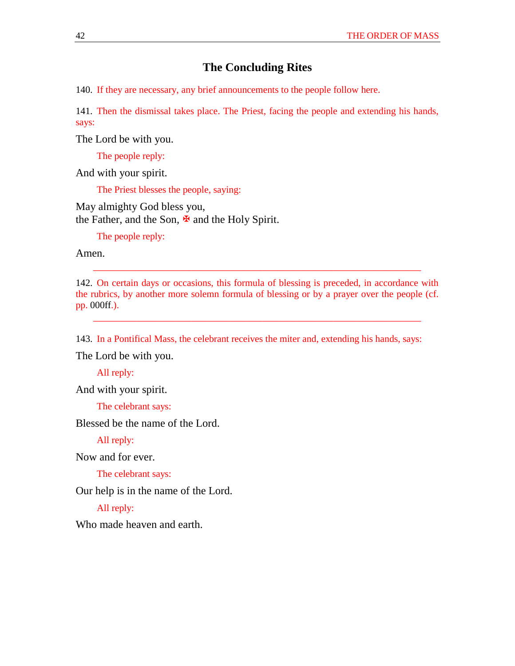# **The Concluding Rites**

140. If they are necessary, any brief announcements to the people follow here.

141. Then the dismissal takes place. The Priest, facing the people and extending his hands, says:

The Lord be with you.

The people reply:

And with your spirit.

The Priest blesses the people, saying:

May almighty God bless you, the Father, and the Son,  $\mathbf{\nabla}$  and the Holy Spirit.

The people reply:

Amen.

142. On certain days or occasions, this formula of blessing is preceded, in accordance with the rubrics, by another more solemn formula of blessing or by a prayer over the people (cf. pp. 000ff.).

\_\_\_\_\_\_\_\_\_\_\_\_\_\_\_\_\_\_\_\_\_\_\_\_\_\_\_\_\_\_\_\_\_\_\_\_\_\_\_\_\_\_\_\_\_\_\_\_\_\_\_\_\_\_\_\_\_\_\_\_

\_\_\_\_\_\_\_\_\_\_\_\_\_\_\_\_\_\_\_\_\_\_\_\_\_\_\_\_\_\_\_\_\_\_\_\_\_\_\_\_\_\_\_\_\_\_\_\_\_\_\_\_\_\_\_\_\_\_\_\_

143. In a Pontifical Mass, the celebrant receives the miter and, extending his hands, says:

The Lord be with you.

All reply:

And with your spirit.

The celebrant says:

Blessed be the name of the Lord.

All reply:

Now and for ever.

The celebrant says:

Our help is in the name of the Lord.

All reply:

Who made heaven and earth.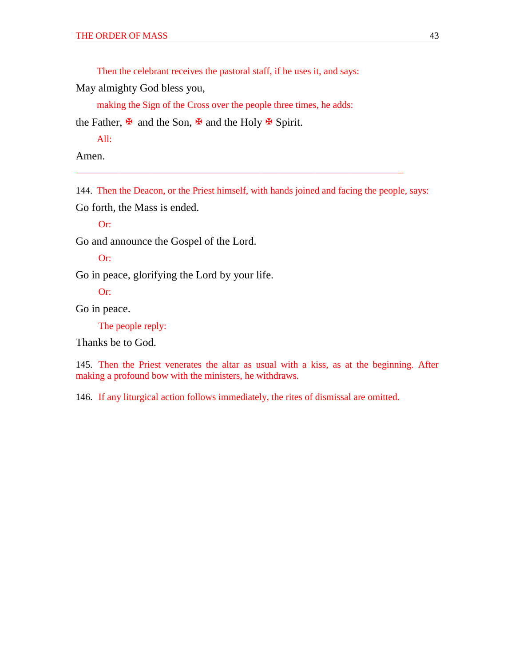Then the celebrant receives the pastoral staff, if he uses it, and says:

May almighty God bless you,

making the Sign of the Cross over the people three times, he adds:

the Father,  $\mathbf{\mathbb{F}}$  and the Son,  $\mathbf{\mathbb{F}}$  and the Holy  $\mathbf{\mathbb{F}}$  Spirit.

All:

Amen.

144. Then the Deacon, or the Priest himself, with hands joined and facing the people, says:

\_\_\_\_\_\_\_\_\_\_\_\_\_\_\_\_\_\_\_\_\_\_\_\_\_\_\_\_\_\_\_\_\_\_\_\_\_\_\_\_\_\_\_\_\_\_\_\_\_\_\_\_\_\_\_\_\_\_\_\_

Go forth, the Mass is ended.

Or:

Go and announce the Gospel of the Lord.

Or:

Go in peace, glorifying the Lord by your life.

Or:

Go in peace.

The people reply:

Thanks be to God.

145. Then the Priest venerates the altar as usual with a kiss, as at the beginning. After making a profound bow with the ministers, he withdraws.

146. If any liturgical action follows immediately, the rites of dismissal are omitted.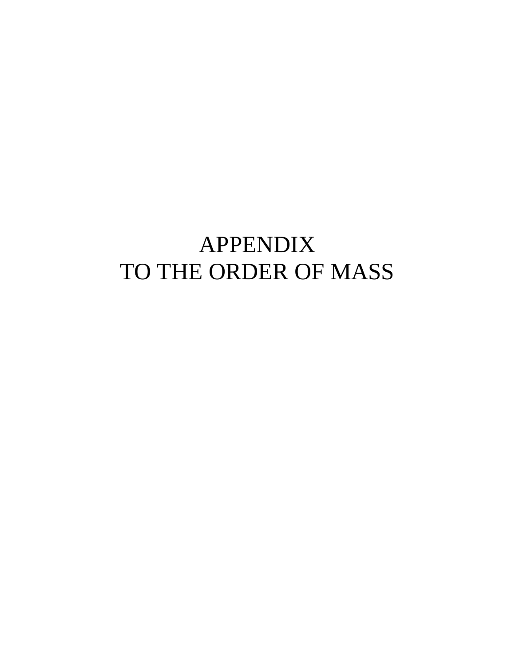# APPENDIX TO THE ORDER OF MASS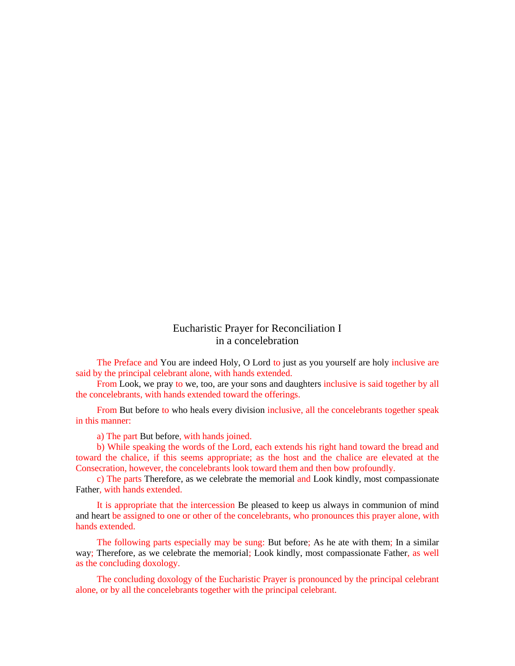# Eucharistic Prayer for Reconciliation I in a concelebration

The Preface and You are indeed Holy, O Lord to just as you yourself are holy inclusive are said by the principal celebrant alone, with hands extended.

From Look, we pray to we, too, are your sons and daughters inclusive is said together by all the concelebrants, with hands extended toward the offerings.

From But before to who heals every division inclusive, all the concelebrants together speak in this manner:

a) The part But before, with hands joined.

b) While speaking the words of the Lord, each extends his right hand toward the bread and toward the chalice, if this seems appropriate; as the host and the chalice are elevated at the Consecration, however, the concelebrants look toward them and then bow profoundly.

c) The parts Therefore, as we celebrate the memorial and Look kindly, most compassionate Father, with hands extended.

It is appropriate that the intercession Be pleased to keep us always in communion of mind and heart be assigned to one or other of the concelebrants, who pronounces this prayer alone, with hands extended.

The following parts especially may be sung: But before; As he ate with them; In a similar way; Therefore, as we celebrate the memorial; Look kindly, most compassionate Father, as well as the concluding doxology.

The concluding doxology of the Eucharistic Prayer is pronounced by the principal celebrant alone, or by all the concelebrants together with the principal celebrant.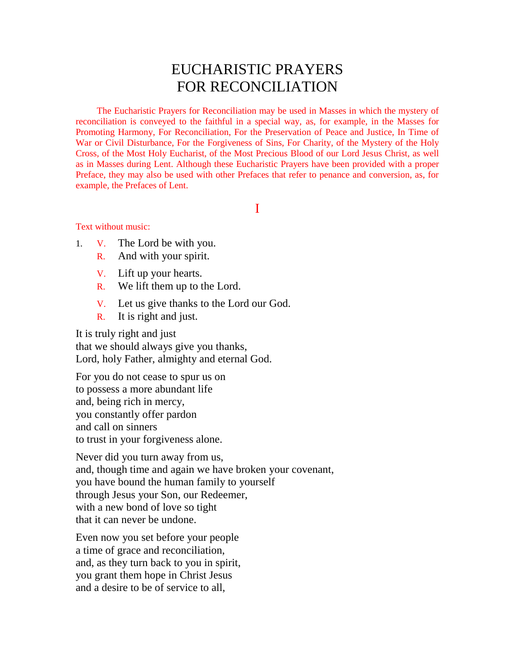# EUCHARISTIC PRAYERS FOR RECONCILIATION

The Eucharistic Prayers for Reconciliation may be used in Masses in which the mystery of reconciliation is conveyed to the faithful in a special way, as, for example, in the Masses for Promoting Harmony, For Reconciliation, For the Preservation of Peace and Justice, In Time of War or Civil Disturbance, For the Forgiveness of Sins, For Charity, of the Mystery of the Holy Cross, of the Most Holy Eucharist, of the Most Precious Blood of our Lord Jesus Christ, as well as in Masses during Lent. Although these Eucharistic Prayers have been provided with a proper Preface, they may also be used with other Prefaces that refer to penance and conversion, as, for example, the Prefaces of Lent.

I

Text without music:

- 1. V. The Lord be with you.
	- R. And with your spirit.
	- V. Lift up your hearts.
	- R. We lift them up to the Lord.
	- V. Let us give thanks to the Lord our God.
	- R. It is right and just.

It is truly right and just that we should always give you thanks, Lord, holy Father, almighty and eternal God.

For you do not cease to spur us on to possess a more abundant life and, being rich in mercy, you constantly offer pardon and call on sinners to trust in your forgiveness alone.

Never did you turn away from us, and, though time and again we have broken your covenant, you have bound the human family to yourself through Jesus your Son, our Redeemer, with a new bond of love so tight that it can never be undone.

Even now you set before your people a time of grace and reconciliation, and, as they turn back to you in spirit, you grant them hope in Christ Jesus and a desire to be of service to all,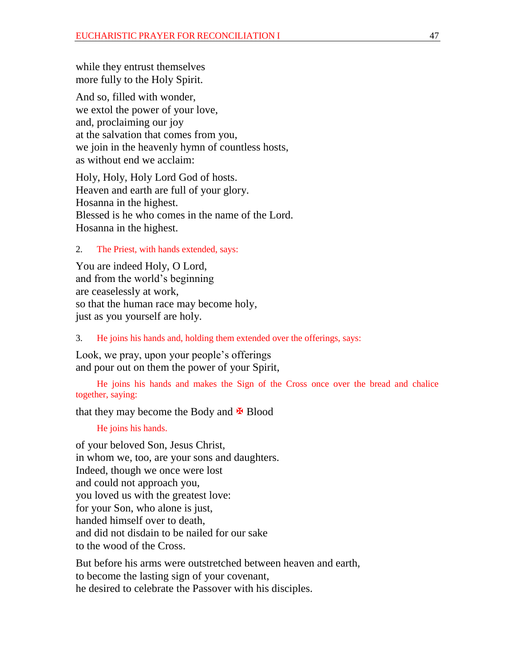while they entrust themselves more fully to the Holy Spirit.

And so, filled with wonder, we extol the power of your love, and, proclaiming our joy at the salvation that comes from you, we join in the heavenly hymn of countless hosts, as without end we acclaim:

Holy, Holy, Holy Lord God of hosts. Heaven and earth are full of your glory. Hosanna in the highest. Blessed is he who comes in the name of the Lord. Hosanna in the highest.

2. The Priest, with hands extended, says:

You are indeed Holy, O Lord, and from the world's beginning are ceaselessly at work, so that the human race may become holy, just as you yourself are holy.

3. He joins his hands and, holding them extended over the offerings, says:

Look, we pray, upon your people's offerings and pour out on them the power of your Spirit,

He joins his hands and makes the Sign of the Cross once over the bread and chalice together, saying:

that they may become the Body and  $\blacktriangleright$  Blood

He joins his hands.

of your beloved Son, Jesus Christ, in whom we, too, are your sons and daughters. Indeed, though we once were lost and could not approach you, you loved us with the greatest love: for your Son, who alone is just, handed himself over to death, and did not disdain to be nailed for our sake to the wood of the Cross.

But before his arms were outstretched between heaven and earth, to become the lasting sign of your covenant, he desired to celebrate the Passover with his disciples.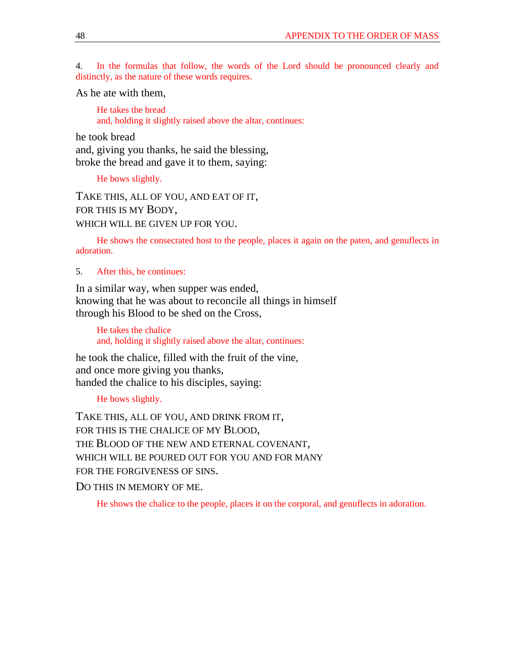4. In the formulas that follow, the words of the Lord should be pronounced clearly and distinctly, as the nature of these words requires.

As he ate with them,

He takes the bread and, holding it slightly raised above the altar, continues:

he took bread and, giving you thanks, he said the blessing, broke the bread and gave it to them, saying:

He bows slightly.

TAKE THIS, ALL OF YOU, AND EAT OF IT, FOR THIS IS MY BODY, WHICH WILL BE GIVEN UP FOR YOU.

He shows the consecrated host to the people, places it again on the paten, and genuflects in adoration.

5. After this, he continues:

In a similar way, when supper was ended, knowing that he was about to reconcile all things in himself through his Blood to be shed on the Cross,

He takes the chalice and, holding it slightly raised above the altar, continues:

he took the chalice, filled with the fruit of the vine, and once more giving you thanks, handed the chalice to his disciples, saying:

He bows slightly.

TAKE THIS, ALL OF YOU, AND DRINK FROM IT, FOR THIS IS THE CHALICE OF MY BLOOD, THE BLOOD OF THE NEW AND ETERNAL COVENANT, WHICH WILL BE POURED OUT FOR YOU AND FOR MANY FOR THE FORGIVENESS OF SINS.

DO THIS IN MEMORY OF ME.

He shows the chalice to the people, places it on the corporal, and genuflects in adoration.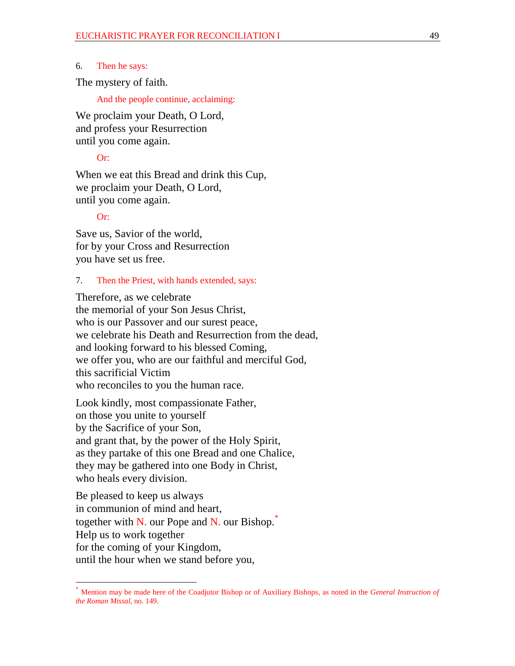#### 6. Then he says:

The mystery of faith.

And the people continue, acclaiming:

We proclaim your Death, O Lord, and profess your Resurrection until you come again.

#### Or:

When we eat this Bread and drink this Cup, we proclaim your Death, O Lord, until you come again.

### Or:

 $\overline{a}$ 

Save us, Savior of the world, for by your Cross and Resurrection you have set us free.

#### 7. Then the Priest, with hands extended, says:

Therefore, as we celebrate the memorial of your Son Jesus Christ, who is our Passover and our surest peace, we celebrate his Death and Resurrection from the dead, and looking forward to his blessed Coming, we offer you, who are our faithful and merciful God, this sacrificial Victim who reconciles to you the human race.

Look kindly, most compassionate Father, on those you unite to yourself by the Sacrifice of your Son, and grant that, by the power of the Holy Spirit, as they partake of this one Bread and one Chalice, they may be gathered into one Body in Christ, who heals every division.

Be pleased to keep us always in communion of mind and heart, together with  $N$ . our Pope and  $N$ . our Bishop. Help us to work together for the coming of your Kingdom, until the hour when we stand before you,

<sup>\*</sup> Mention may be made here of the Coadjutor Bishop or of Auxiliary Bishops, as noted in the *General Instruction of the Roman Missal*, no. 149.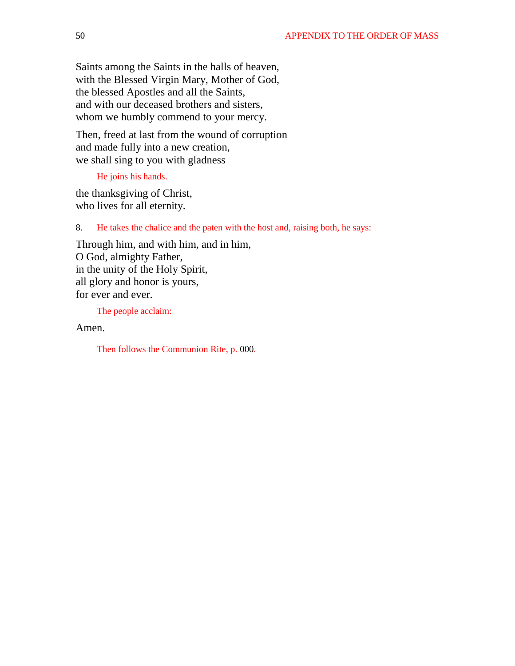Saints among the Saints in the halls of heaven, with the Blessed Virgin Mary, Mother of God, the blessed Apostles and all the Saints, and with our deceased brothers and sisters, whom we humbly commend to your mercy.

Then, freed at last from the wound of corruption and made fully into a new creation, we shall sing to you with gladness

He joins his hands.

the thanksgiving of Christ, who lives for all eternity.

8. He takes the chalice and the paten with the host and, raising both, he says:

Through him, and with him, and in him, O God, almighty Father, in the unity of the Holy Spirit, all glory and honor is yours, for ever and ever.

The people acclaim:

Amen.

Then follows the Communion Rite, p. 000.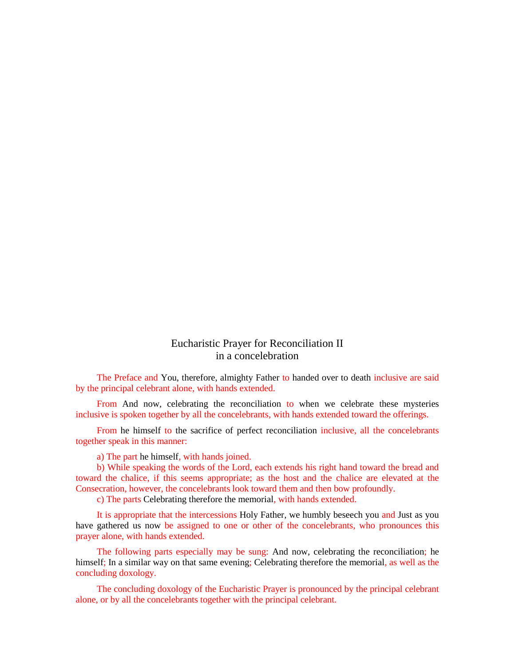# Eucharistic Prayer for Reconciliation II in a concelebration

The Preface and You, therefore, almighty Father to handed over to death inclusive are said by the principal celebrant alone, with hands extended.

From And now, celebrating the reconciliation to when we celebrate these mysteries inclusive is spoken together by all the concelebrants, with hands extended toward the offerings.

From he himself to the sacrifice of perfect reconciliation inclusive, all the concelebrants together speak in this manner:

a) The part he himself, with hands joined.

b) While speaking the words of the Lord, each extends his right hand toward the bread and toward the chalice, if this seems appropriate; as the host and the chalice are elevated at the Consecration, however, the concelebrants look toward them and then bow profoundly.

c) The parts Celebrating therefore the memorial, with hands extended.

It is appropriate that the intercessions Holy Father, we humbly beseech you and Just as you have gathered us now be assigned to one or other of the concelebrants, who pronounces this prayer alone, with hands extended.

The following parts especially may be sung: And now, celebrating the reconciliation; he himself; In a similar way on that same evening; Celebrating therefore the memorial, as well as the concluding doxology.

The concluding doxology of the Eucharistic Prayer is pronounced by the principal celebrant alone, or by all the concelebrants together with the principal celebrant.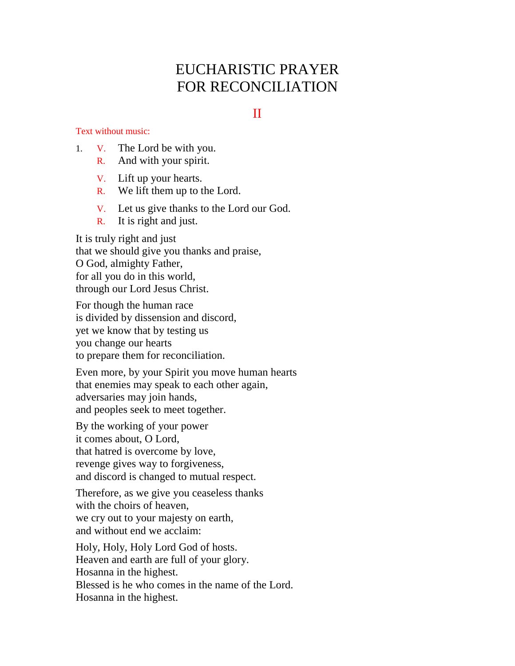# EUCHARISTIC PRAYER FOR RECONCILIATION

# II

### Text without music:

- 1. V. The Lord be with you.
	- R. And with your spirit.
	- V. Lift up your hearts.
	- R. We lift them up to the Lord.
	- V. Let us give thanks to the Lord our God.
	- R. It is right and just.

It is truly right and just that we should give you thanks and praise, O God, almighty Father, for all you do in this world, through our Lord Jesus Christ.

For though the human race is divided by dissension and discord, yet we know that by testing us you change our hearts to prepare them for reconciliation.

Even more, by your Spirit you move human hearts that enemies may speak to each other again, adversaries may join hands, and peoples seek to meet together.

By the working of your power it comes about, O Lord, that hatred is overcome by love, revenge gives way to forgiveness, and discord is changed to mutual respect.

Therefore, as we give you ceaseless thanks with the choirs of heaven, we cry out to your majesty on earth, and without end we acclaim:

Holy, Holy, Holy Lord God of hosts. Heaven and earth are full of your glory. Hosanna in the highest. Blessed is he who comes in the name of the Lord. Hosanna in the highest.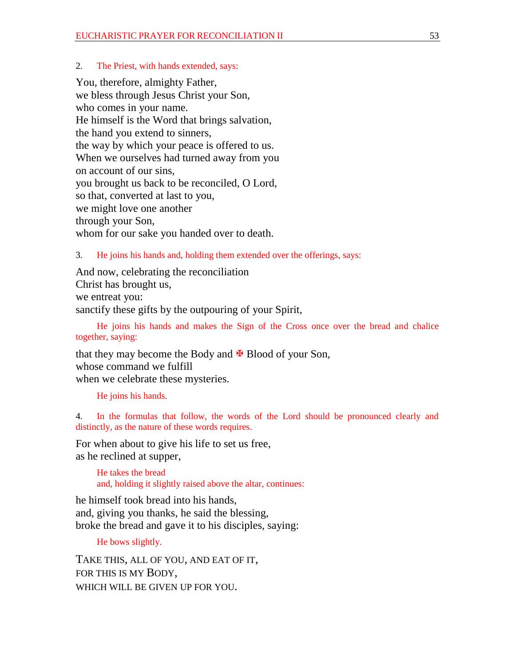# 2. The Priest, with hands extended, says:

You, therefore, almighty Father, we bless through Jesus Christ your Son, who comes in your name. He himself is the Word that brings salvation, the hand you extend to sinners, the way by which your peace is offered to us. When we ourselves had turned away from you on account of our sins, you brought us back to be reconciled, O Lord, so that, converted at last to you, we might love one another through your Son, whom for our sake you handed over to death.

# 3. He joins his hands and, holding them extended over the offerings, says:

And now, celebrating the reconciliation Christ has brought us, we entreat you: sanctify these gifts by the outpouring of your Spirit,

He joins his hands and makes the Sign of the Cross once over the bread and chalice together, saying:

that they may become the Body and  $\mathbb F$  Blood of your Son, whose command we fulfill when we celebrate these mysteries.

He joins his hands.

4. In the formulas that follow, the words of the Lord should be pronounced clearly and distinctly, as the nature of these words requires.

For when about to give his life to set us free, as he reclined at supper,

> He takes the bread and, holding it slightly raised above the altar, continues:

he himself took bread into his hands, and, giving you thanks, he said the blessing, broke the bread and gave it to his disciples, saying:

He bows slightly.

TAKE THIS, ALL OF YOU, AND EAT OF IT, FOR THIS IS MY BODY, WHICH WILL BE GIVEN UP FOR YOU.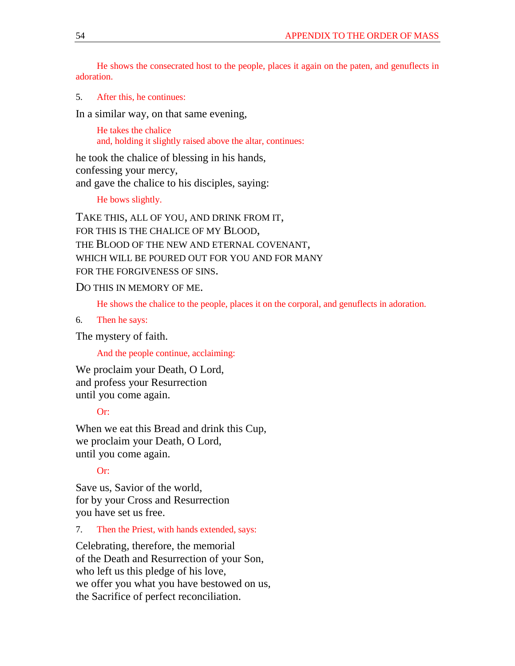He shows the consecrated host to the people, places it again on the paten, and genuflects in adoration.

5. After this, he continues:

In a similar way, on that same evening,

He takes the chalice and, holding it slightly raised above the altar, continues:

he took the chalice of blessing in his hands, confessing your mercy, and gave the chalice to his disciples, saying:

He bows slightly.

TAKE THIS, ALL OF YOU, AND DRINK FROM IT, FOR THIS IS THE CHALICE OF MY BLOOD, THE BLOOD OF THE NEW AND ETERNAL COVENANT, WHICH WILL BE POURED OUT FOR YOU AND FOR MANY FOR THE FORGIVENESS OF SINS.

### DO THIS IN MEMORY OF ME.

He shows the chalice to the people, places it on the corporal, and genuflects in adoration.

6. Then he says:

The mystery of faith.

And the people continue, acclaiming:

We proclaim your Death, O Lord, and profess your Resurrection until you come again.

#### Or:

When we eat this Bread and drink this Cup, we proclaim your Death, O Lord, until you come again.

Or:

Save us, Savior of the world, for by your Cross and Resurrection you have set us free.

7. Then the Priest, with hands extended, says:

Celebrating, therefore, the memorial of the Death and Resurrection of your Son, who left us this pledge of his love, we offer you what you have bestowed on us, the Sacrifice of perfect reconciliation.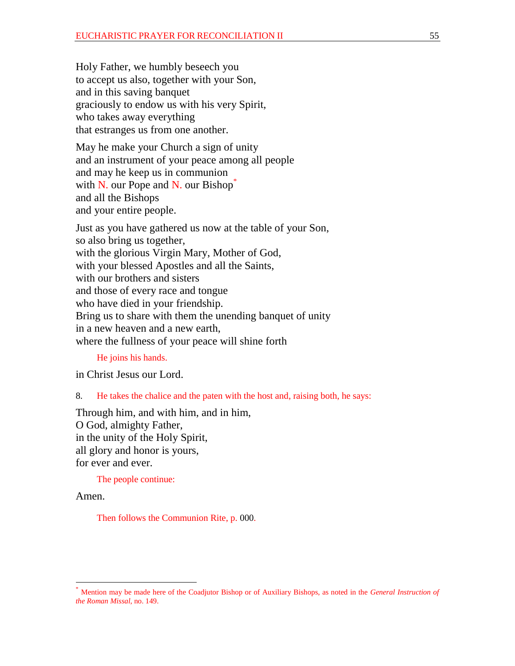Holy Father, we humbly beseech you to accept us also, together with your Son, and in this saving banquet graciously to endow us with his very Spirit, who takes away everything that estranges us from one another.

May he make your Church a sign of unity and an instrument of your peace among all people and may he keep us in communion with  $N$ . our Pope and  $N$ . our Bishop<sup>\*</sup> and all the Bishops and your entire people.

Just as you have gathered us now at the table of your Son, so also bring us together, with the glorious Virgin Mary, Mother of God, with your blessed Apostles and all the Saints, with our brothers and sisters and those of every race and tongue who have died in your friendship. Bring us to share with them the unending banquet of unity in a new heaven and a new earth, where the fullness of your peace will shine forth

#### He joins his hands.

in Christ Jesus our Lord.

8. He takes the chalice and the paten with the host and, raising both, he says:

Through him, and with him, and in him, O God, almighty Father, in the unity of the Holy Spirit, all glory and honor is yours, for ever and ever.

The people continue:

Amen.

 $\overline{a}$ 

Then follows the Communion Rite, p. 000.

<sup>\*</sup> Mention may be made here of the Coadjutor Bishop or of Auxiliary Bishops, as noted in the *General Instruction of the Roman Missal*, no. 149.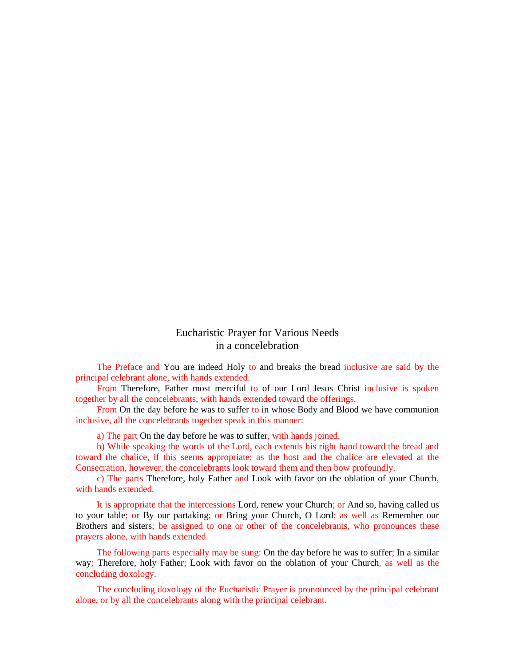# Eucharistic Prayer for Various Needs in a concelebration

The Preface and You are indeed Holy to and breaks the bread inclusive are said by the principal celebrant alone, with hands extended.

From Therefore, Father most merciful to of our Lord Jesus Christ inclusive is spoken together by all the concelebrants, with hands extended toward the offerings.

From On the day before he was to suffer to in whose Body and Blood we have communion inclusive, all the concelebrants together speak in this manner:

a) The part On the day before he was to suffer, with hands joined.

b) While speaking the words of the Lord, each extends his right hand toward the bread and toward the chalice, if this seems appropriate; as the host and the chalice are elevated at the Consecration, however, the concelebrants look toward them and then bow profoundly.

c) The parts Therefore, holy Father and Look with favor on the oblation of your Church, with hands extended.

It is appropriate that the intercessions Lord, renew your Church; or And so, having called us to your table; or By our partaking; or Bring your Church, O Lord; as well as Remember our Brothers and sisters; be assigned to one or other of the concelebrants, who pronounces these prayers alone, with hands extended.

The following parts especially may be sung: On the day before he was to suffer; In a similar way; Therefore, holy Father; Look with favor on the oblation of your Church, as well as the concluding doxology.

The concluding doxology of the Eucharistic Prayer is pronounced by the principal celebrant alone, or by all the concelebrants along with the principal celebrant.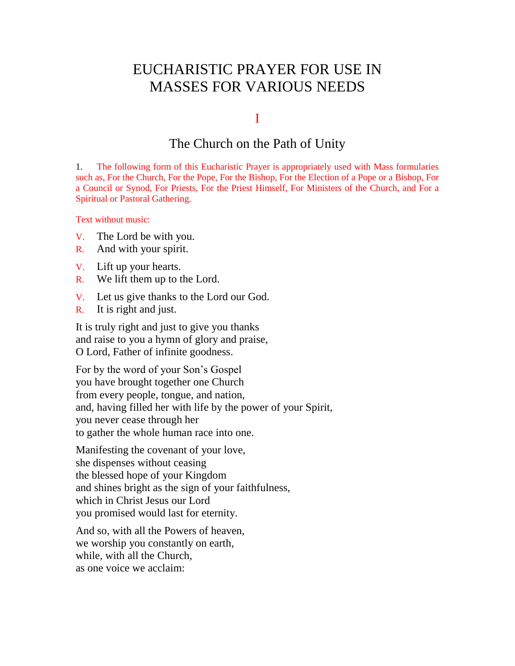# EUCHARISTIC PRAYER FOR USE IN MASSES FOR VARIOUS NEEDS

I

# The Church on the Path of Unity

1. The following form of this Eucharistic Prayer is appropriately used with Mass formularies such as, For the Church, For the Pope, For the Bishop, For the Election of a Pope or a Bishop, For a Council or Synod, For Priests, For the Priest Himself, For Ministers of the Church, and For a Spiritual or Pastoral Gathering.

Text without music:

- V. The Lord be with you.
- R. And with your spirit.
- V. Lift up your hearts.
- R. We lift them up to the Lord.
- V. Let us give thanks to the Lord our God.
- R. It is right and just.

It is truly right and just to give you thanks and raise to you a hymn of glory and praise, O Lord, Father of infinite goodness.

For by the word of your Son's Gospel you have brought together one Church from every people, tongue, and nation, and, having filled her with life by the power of your Spirit, you never cease through her to gather the whole human race into one.

Manifesting the covenant of your love, she dispenses without ceasing the blessed hope of your Kingdom and shines bright as the sign of your faithfulness, which in Christ Jesus our Lord you promised would last for eternity.

And so, with all the Powers of heaven, we worship you constantly on earth, while, with all the Church, as one voice we acclaim: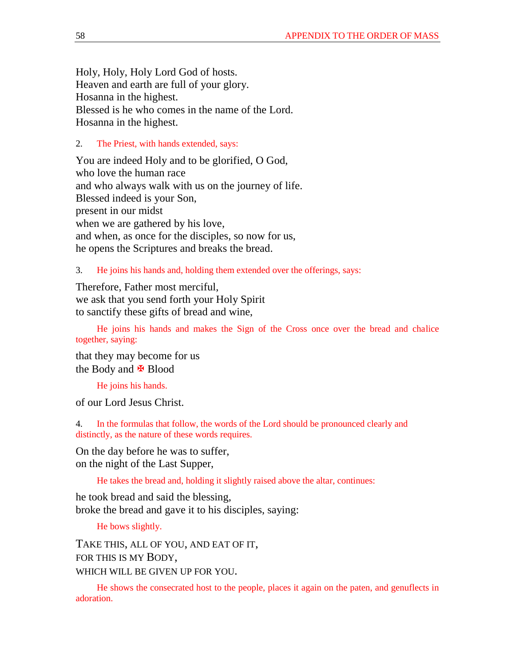Holy, Holy, Holy Lord God of hosts. Heaven and earth are full of your glory. Hosanna in the highest. Blessed is he who comes in the name of the Lord. Hosanna in the highest.

# 2. The Priest, with hands extended, says:

You are indeed Holy and to be glorified, O God, who love the human race and who always walk with us on the journey of life. Blessed indeed is your Son, present in our midst when we are gathered by his love, and when, as once for the disciples, so now for us, he opens the Scriptures and breaks the bread.

# 3. He joins his hands and, holding them extended over the offerings, says:

Therefore, Father most merciful, we ask that you send forth your Holy Spirit to sanctify these gifts of bread and wine,

He joins his hands and makes the Sign of the Cross once over the bread and chalice together, saying:

that they may become for us the Body and  $\blacktriangleright$  Blood

He joins his hands.

of our Lord Jesus Christ.

4. In the formulas that follow, the words of the Lord should be pronounced clearly and distinctly, as the nature of these words requires.

On the day before he was to suffer, on the night of the Last Supper,

He takes the bread and, holding it slightly raised above the altar, continues:

he took bread and said the blessing, broke the bread and gave it to his disciples, saying:

He bows slightly.

TAKE THIS, ALL OF YOU, AND EAT OF IT, FOR THIS IS MY BODY, WHICH WILL BE GIVEN UP FOR YOU.

He shows the consecrated host to the people, places it again on the paten, and genuflects in adoration.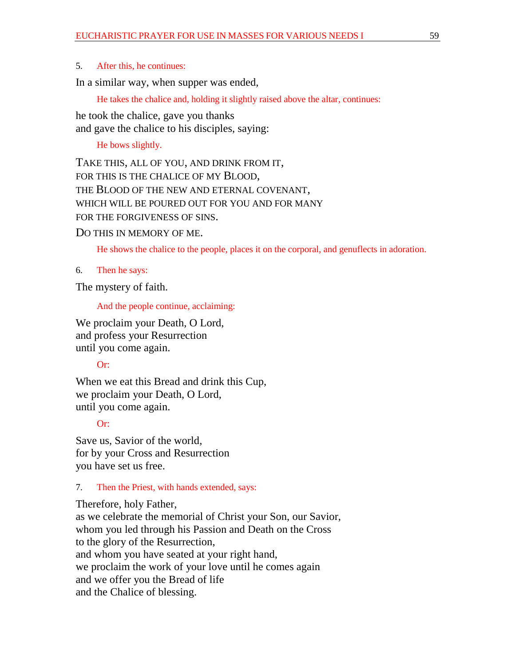#### 5. After this, he continues:

In a similar way, when supper was ended,

He takes the chalice and, holding it slightly raised above the altar, continues:

he took the chalice, gave you thanks and gave the chalice to his disciples, saying:

He bows slightly.

TAKE THIS, ALL OF YOU, AND DRINK FROM IT, FOR THIS IS THE CHALICE OF MY BLOOD, THE BLOOD OF THE NEW AND ETERNAL COVENANT, WHICH WILL BE POURED OUT FOR YOU AND FOR MANY FOR THE FORGIVENESS OF SINS.

#### DO THIS IN MEMORY OF ME.

He shows the chalice to the people, places it on the corporal, and genuflects in adoration.

6. Then he says:

The mystery of faith.

And the people continue, acclaiming:

We proclaim your Death, O Lord, and profess your Resurrection until you come again.

#### Or:

When we eat this Bread and drink this Cup, we proclaim your Death, O Lord, until you come again.

#### Or:

Save us, Savior of the world, for by your Cross and Resurrection you have set us free.

#### 7. Then the Priest, with hands extended, says:

Therefore, holy Father, as we celebrate the memorial of Christ your Son, our Savior, whom you led through his Passion and Death on the Cross to the glory of the Resurrection, and whom you have seated at your right hand, we proclaim the work of your love until he comes again and we offer you the Bread of life and the Chalice of blessing.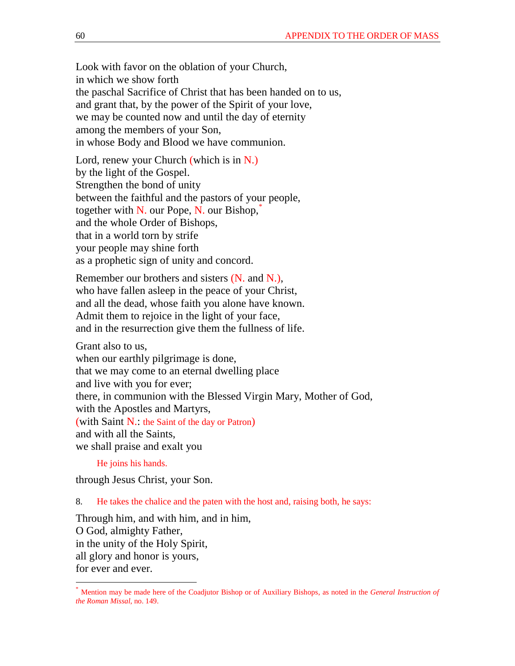Look with favor on the oblation of your Church, in which we show forth the paschal Sacrifice of Christ that has been handed on to us, and grant that, by the power of the Spirit of your love, we may be counted now and until the day of eternity among the members of your Son, in whose Body and Blood we have communion.

Lord, renew your Church (which is in N.) by the light of the Gospel. Strengthen the bond of unity between the faithful and the pastors of your people, together with  $N$ . our Pope,  $N$ . our Bishop, and the whole Order of Bishops, that in a world torn by strife your people may shine forth as a prophetic sign of unity and concord.

Remember our brothers and sisters (N. and N.), who have fallen asleep in the peace of your Christ, and all the dead, whose faith you alone have known. Admit them to rejoice in the light of your face, and in the resurrection give them the fullness of life.

Grant also to us, when our earthly pilgrimage is done, that we may come to an eternal dwelling place and live with you for ever; there, in communion with the Blessed Virgin Mary, Mother of God, with the Apostles and Martyrs, (with Saint N.: the Saint of the day or Patron) and with all the Saints, we shall praise and exalt you

He joins his hands.

 $\overline{a}$ 

through Jesus Christ, your Son.

8. He takes the chalice and the paten with the host and, raising both, he says:

Through him, and with him, and in him, O God, almighty Father, in the unity of the Holy Spirit, all glory and honor is yours, for ever and ever.

<sup>\*</sup> Mention may be made here of the Coadjutor Bishop or of Auxiliary Bishops, as noted in the *General Instruction of the Roman Missal*, no. 149.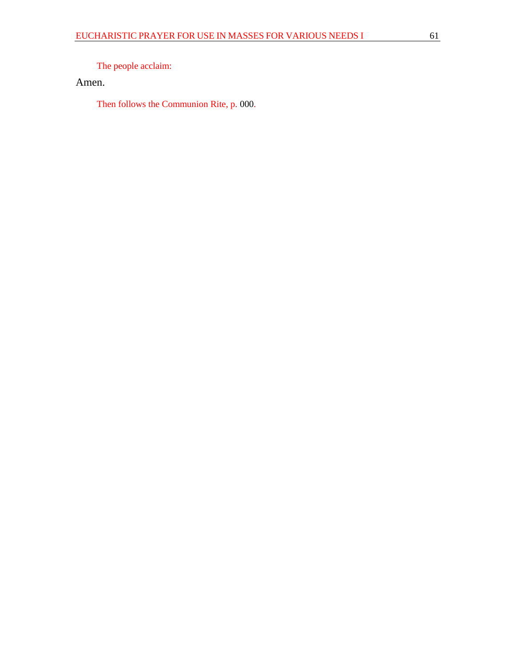Amen.

Then follows the Communion Rite, p. 000.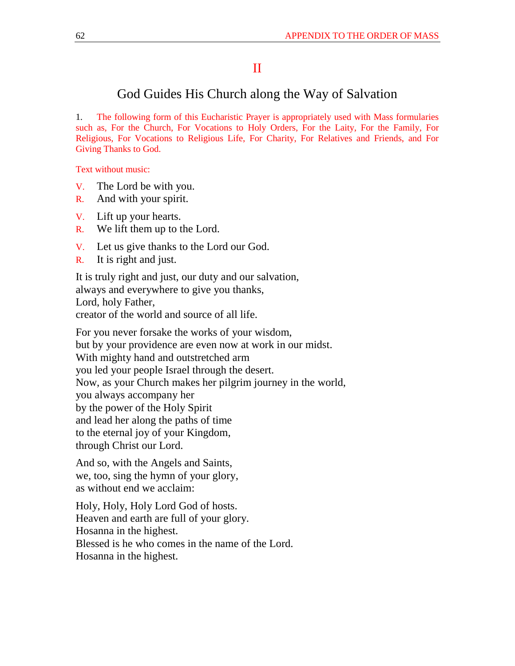# II

# God Guides His Church along the Way of Salvation

1. The following form of this Eucharistic Prayer is appropriately used with Mass formularies such as, For the Church, For Vocations to Holy Orders, For the Laity, For the Family, For Religious, For Vocations to Religious Life, For Charity, For Relatives and Friends, and For Giving Thanks to God.

Text without music:

- V. The Lord be with you.
- R. And with your spirit.
- V. Lift up your hearts.
- R. We lift them up to the Lord.
- V. Let us give thanks to the Lord our God.
- R. It is right and just.

It is truly right and just, our duty and our salvation, always and everywhere to give you thanks, Lord, holy Father, creator of the world and source of all life.

For you never forsake the works of your wisdom, but by your providence are even now at work in our midst. With mighty hand and outstretched arm you led your people Israel through the desert. Now, as your Church makes her pilgrim journey in the world, you always accompany her by the power of the Holy Spirit and lead her along the paths of time to the eternal joy of your Kingdom, through Christ our Lord.

And so, with the Angels and Saints, we, too, sing the hymn of your glory, as without end we acclaim:

Holy, Holy, Holy Lord God of hosts. Heaven and earth are full of your glory. Hosanna in the highest. Blessed is he who comes in the name of the Lord. Hosanna in the highest.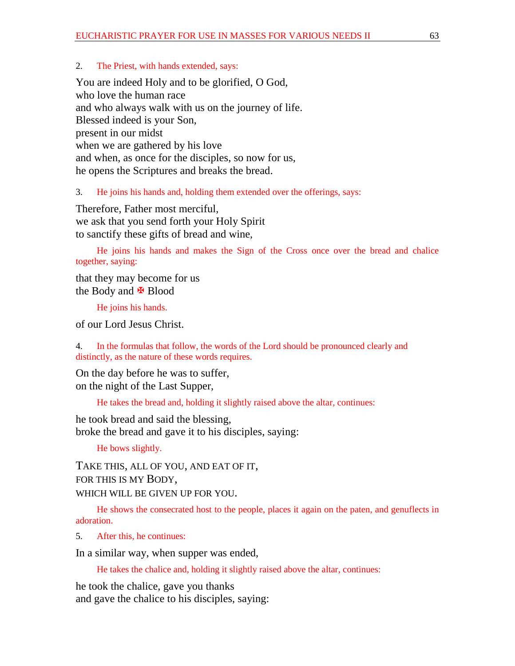# 2. The Priest, with hands extended, says:

You are indeed Holy and to be glorified, O God, who love the human race and who always walk with us on the journey of life. Blessed indeed is your Son, present in our midst when we are gathered by his love and when, as once for the disciples, so now for us, he opens the Scriptures and breaks the bread.

# 3. He joins his hands and, holding them extended over the offerings, says:

Therefore, Father most merciful, we ask that you send forth your Holy Spirit to sanctify these gifts of bread and wine,

He joins his hands and makes the Sign of the Cross once over the bread and chalice together, saying:

that they may become for us the Body and  $\blacktriangleright$  Blood

He joins his hands.

of our Lord Jesus Christ.

4. In the formulas that follow, the words of the Lord should be pronounced clearly and distinctly, as the nature of these words requires.

On the day before he was to suffer, on the night of the Last Supper,

He takes the bread and, holding it slightly raised above the altar, continues:

he took bread and said the blessing, broke the bread and gave it to his disciples, saying:

He bows slightly.

TAKE THIS, ALL OF YOU, AND EAT OF IT, FOR THIS IS MY BODY, WHICH WILL BE GIVEN UP FOR YOU.

He shows the consecrated host to the people, places it again on the paten, and genuflects in adoration.

5. After this, he continues:

In a similar way, when supper was ended,

He takes the chalice and, holding it slightly raised above the altar, continues:

he took the chalice, gave you thanks and gave the chalice to his disciples, saying: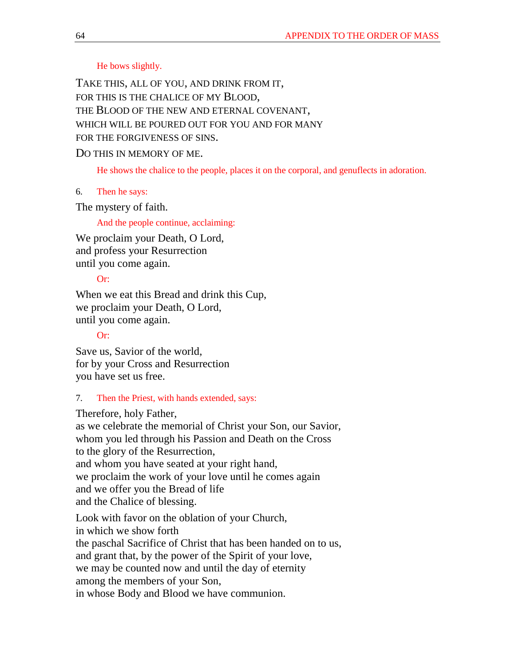### He bows slightly.

TAKE THIS, ALL OF YOU, AND DRINK FROM IT, FOR THIS IS THE CHALICE OF MY BLOOD, THE BLOOD OF THE NEW AND ETERNAL COVENANT, WHICH WILL BE POURED OUT FOR YOU AND FOR MANY FOR THE FORGIVENESS OF SINS.

# DO THIS IN MEMORY OF ME.

He shows the chalice to the people, places it on the corporal, and genuflects in adoration.

# 6. Then he says:

The mystery of faith.

And the people continue, acclaiming:

We proclaim your Death, O Lord, and profess your Resurrection until you come again.

# Or:

When we eat this Bread and drink this Cup, we proclaim your Death, O Lord, until you come again.

# Or:

Save us, Savior of the world, for by your Cross and Resurrection you have set us free.

# 7. Then the Priest, with hands extended, says:

Therefore, holy Father,

as we celebrate the memorial of Christ your Son, our Savior, whom you led through his Passion and Death on the Cross to the glory of the Resurrection, and whom you have seated at your right hand, we proclaim the work of your love until he comes again and we offer you the Bread of life and the Chalice of blessing.

Look with favor on the oblation of your Church, in which we show forth the paschal Sacrifice of Christ that has been handed on to us, and grant that, by the power of the Spirit of your love, we may be counted now and until the day of eternity among the members of your Son, in whose Body and Blood we have communion.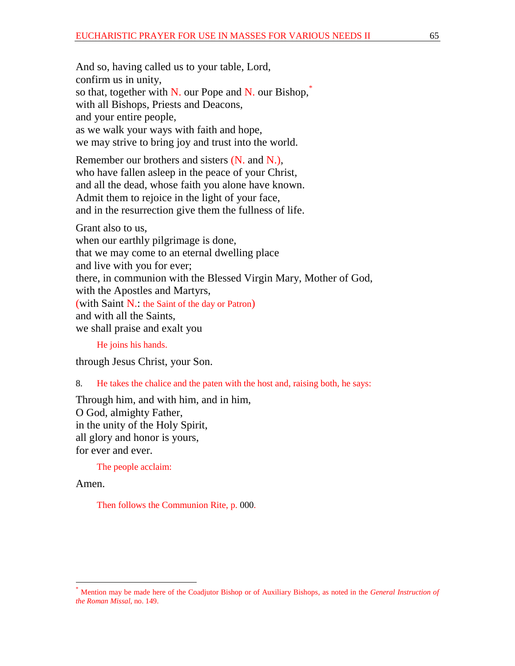And so, having called us to your table, Lord, confirm us in unity, so that, together with  $N$ . our Pope and  $N$ . our Bishop, with all Bishops, Priests and Deacons, and your entire people, as we walk your ways with faith and hope, we may strive to bring joy and trust into the world.

Remember our brothers and sisters (N. and N.), who have fallen asleep in the peace of your Christ, and all the dead, whose faith you alone have known. Admit them to rejoice in the light of your face, and in the resurrection give them the fullness of life.

Grant also to us, when our earthly pilgrimage is done, that we may come to an eternal dwelling place and live with you for ever; there, in communion with the Blessed Virgin Mary, Mother of God, with the Apostles and Martyrs, (with Saint N.: the Saint of the day or Patron) and with all the Saints, we shall praise and exalt you

He joins his hands.

through Jesus Christ, your Son.

8. He takes the chalice and the paten with the host and, raising both, he says:

Through him, and with him, and in him, O God, almighty Father, in the unity of the Holy Spirit, all glory and honor is yours, for ever and ever.

The people acclaim:

Amen.

 $\overline{a}$ 

Then follows the Communion Rite, p. 000.

<sup>\*</sup> Mention may be made here of the Coadjutor Bishop or of Auxiliary Bishops, as noted in the *General Instruction of the Roman Missal*, no. 149.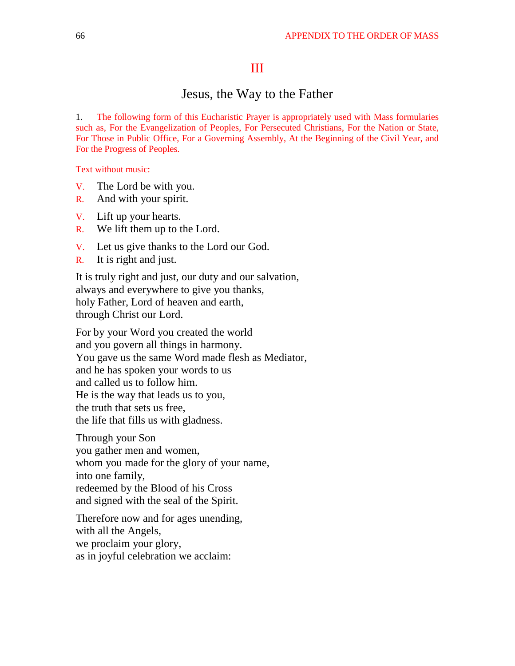# III

# Jesus, the Way to the Father

1. The following form of this Eucharistic Prayer is appropriately used with Mass formularies such as, For the Evangelization of Peoples, For Persecuted Christians, For the Nation or State, For Those in Public Office, For a Governing Assembly, At the Beginning of the Civil Year, and For the Progress of Peoples.

Text without music:

- V. The Lord be with you.
- R. And with your spirit.
- V. Lift up your hearts.
- R. We lift them up to the Lord.
- V. Let us give thanks to the Lord our God.
- R. It is right and just.

It is truly right and just, our duty and our salvation, always and everywhere to give you thanks, holy Father, Lord of heaven and earth, through Christ our Lord.

For by your Word you created the world and you govern all things in harmony. You gave us the same Word made flesh as Mediator, and he has spoken your words to us and called us to follow him. He is the way that leads us to you, the truth that sets us free, the life that fills us with gladness.

Through your Son you gather men and women, whom you made for the glory of your name, into one family, redeemed by the Blood of his Cross and signed with the seal of the Spirit.

Therefore now and for ages unending, with all the Angels, we proclaim your glory, as in joyful celebration we acclaim: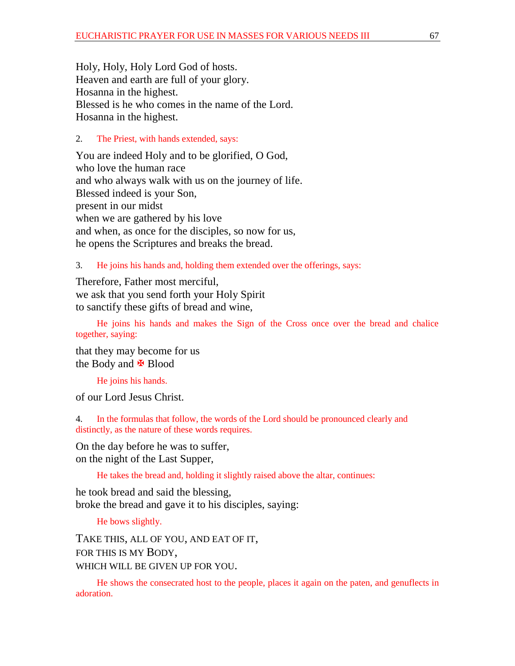Holy, Holy, Holy Lord God of hosts. Heaven and earth are full of your glory. Hosanna in the highest. Blessed is he who comes in the name of the Lord. Hosanna in the highest.

# 2. The Priest, with hands extended, says:

You are indeed Holy and to be glorified, O God, who love the human race and who always walk with us on the journey of life. Blessed indeed is your Son, present in our midst when we are gathered by his love and when, as once for the disciples, so now for us, he opens the Scriptures and breaks the bread.

3. He joins his hands and, holding them extended over the offerings, says:

Therefore, Father most merciful, we ask that you send forth your Holy Spirit to sanctify these gifts of bread and wine,

He joins his hands and makes the Sign of the Cross once over the bread and chalice together, saying:

that they may become for us the Body and  $\blacktriangleright$  Blood

He joins his hands.

of our Lord Jesus Christ.

4. In the formulas that follow, the words of the Lord should be pronounced clearly and distinctly, as the nature of these words requires.

On the day before he was to suffer, on the night of the Last Supper,

He takes the bread and, holding it slightly raised above the altar, continues:

he took bread and said the blessing, broke the bread and gave it to his disciples, saying:

He bows slightly.

TAKE THIS, ALL OF YOU, AND EAT OF IT, FOR THIS IS MY BODY, WHICH WILL BE GIVEN UP FOR YOU.

He shows the consecrated host to the people, places it again on the paten, and genuflects in adoration.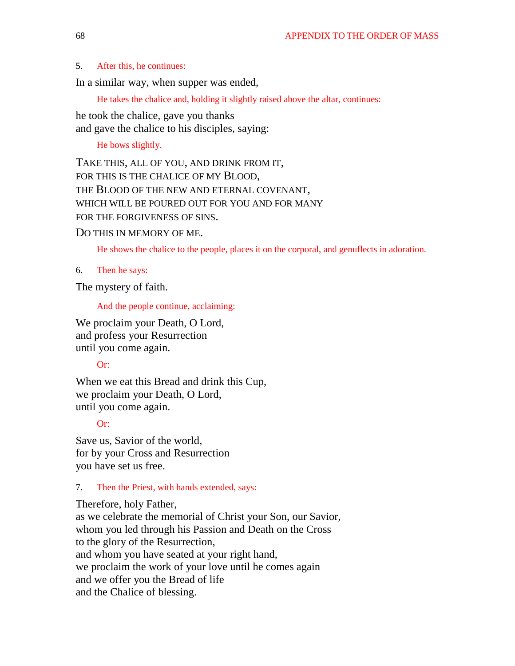5. After this, he continues:

In a similar way, when supper was ended,

He takes the chalice and, holding it slightly raised above the altar, continues:

he took the chalice, gave you thanks and gave the chalice to his disciples, saying:

He bows slightly.

TAKE THIS, ALL OF YOU, AND DRINK FROM IT, FOR THIS IS THE CHALICE OF MY BLOOD, THE BLOOD OF THE NEW AND ETERNAL COVENANT, WHICH WILL BE POURED OUT FOR YOU AND FOR MANY FOR THE FORGIVENESS OF SINS.

# DO THIS IN MEMORY OF ME.

He shows the chalice to the people, places it on the corporal, and genuflects in adoration.

6. Then he says:

The mystery of faith.

And the people continue, acclaiming:

We proclaim your Death, O Lord, and profess your Resurrection until you come again.

# Or:

When we eat this Bread and drink this Cup, we proclaim your Death, O Lord, until you come again.

# Or:

Save us, Savior of the world, for by your Cross and Resurrection you have set us free.

# 7. Then the Priest, with hands extended, says:

Therefore, holy Father, as we celebrate the memorial of Christ your Son, our Savior, whom you led through his Passion and Death on the Cross to the glory of the Resurrection, and whom you have seated at your right hand, we proclaim the work of your love until he comes again and we offer you the Bread of life and the Chalice of blessing.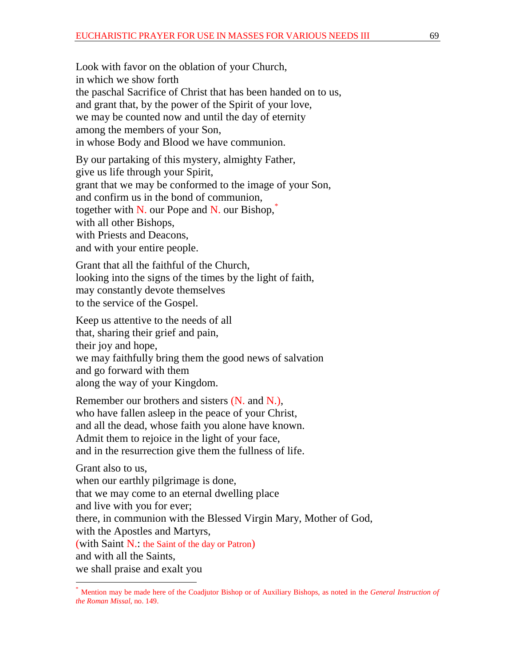Look with favor on the oblation of your Church, in which we show forth the paschal Sacrifice of Christ that has been handed on to us, and grant that, by the power of the Spirit of your love, we may be counted now and until the day of eternity among the members of your Son, in whose Body and Blood we have communion.

By our partaking of this mystery, almighty Father, give us life through your Spirit, grant that we may be conformed to the image of your Son, and confirm us in the bond of communion, together with  $N$ . our Pope and  $N$ . our Bishop, with all other Bishops, with Priests and Deacons, and with your entire people.

Grant that all the faithful of the Church, looking into the signs of the times by the light of faith, may constantly devote themselves to the service of the Gospel.

Keep us attentive to the needs of all that, sharing their grief and pain, their joy and hope, we may faithfully bring them the good news of salvation and go forward with them along the way of your Kingdom.

Remember our brothers and sisters (N. and N.), who have fallen asleep in the peace of your Christ, and all the dead, whose faith you alone have known. Admit them to rejoice in the light of your face, and in the resurrection give them the fullness of life.

Grant also to us,

when our earthly pilgrimage is done, that we may come to an eternal dwelling place and live with you for ever; there, in communion with the Blessed Virgin Mary, Mother of God, with the Apostles and Martyrs, (with Saint N.: the Saint of the day or Patron) and with all the Saints, we shall praise and exalt you

 $\overline{a}$ \* Mention may be made here of the Coadjutor Bishop or of Auxiliary Bishops, as noted in the *General Instruction of the Roman Missal*, no. 149.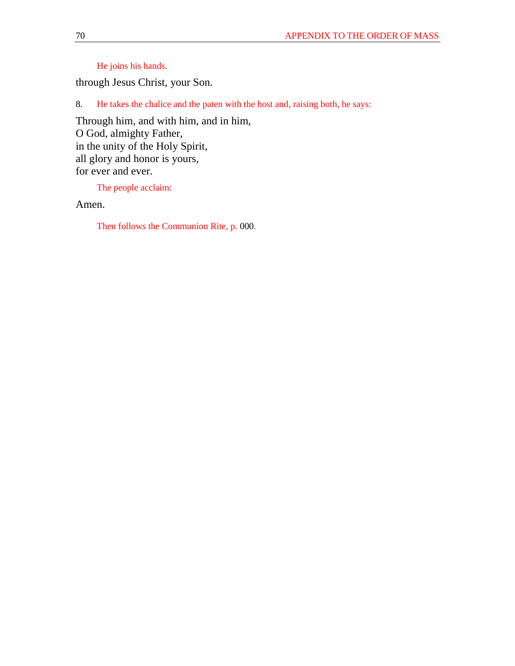He joins his hands.

through Jesus Christ, your Son.

8. He takes the chalice and the paten with the host and, raising both, he says:

Through him, and with him, and in him, O God, almighty Father, in the unity of the Holy Spirit, all glory and honor is yours, for ever and ever.

The people acclaim:

Amen.

Then follows the Communion Rite, p. 000.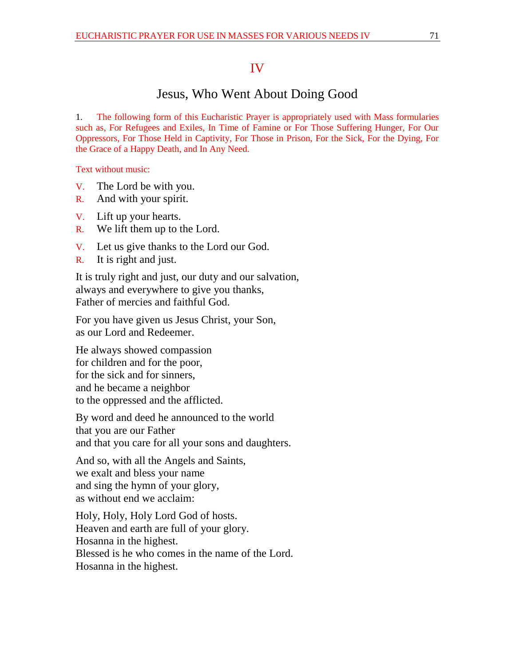# IV

# Jesus, Who Went About Doing Good

1. The following form of this Eucharistic Prayer is appropriately used with Mass formularies such as, For Refugees and Exiles, In Time of Famine or For Those Suffering Hunger, For Our Oppressors, For Those Held in Captivity, For Those in Prison, For the Sick, For the Dying, For the Grace of a Happy Death, and In Any Need.

Text without music:

- V. The Lord be with you.
- R. And with your spirit.
- V. Lift up your hearts.
- R. We lift them up to the Lord.
- V. Let us give thanks to the Lord our God.
- R. It is right and just.

It is truly right and just, our duty and our salvation, always and everywhere to give you thanks, Father of mercies and faithful God.

For you have given us Jesus Christ, your Son, as our Lord and Redeemer.

He always showed compassion for children and for the poor, for the sick and for sinners, and he became a neighbor to the oppressed and the afflicted.

By word and deed he announced to the world that you are our Father and that you care for all your sons and daughters.

And so, with all the Angels and Saints, we exalt and bless your name and sing the hymn of your glory, as without end we acclaim:

Holy, Holy, Holy Lord God of hosts. Heaven and earth are full of your glory. Hosanna in the highest. Blessed is he who comes in the name of the Lord. Hosanna in the highest.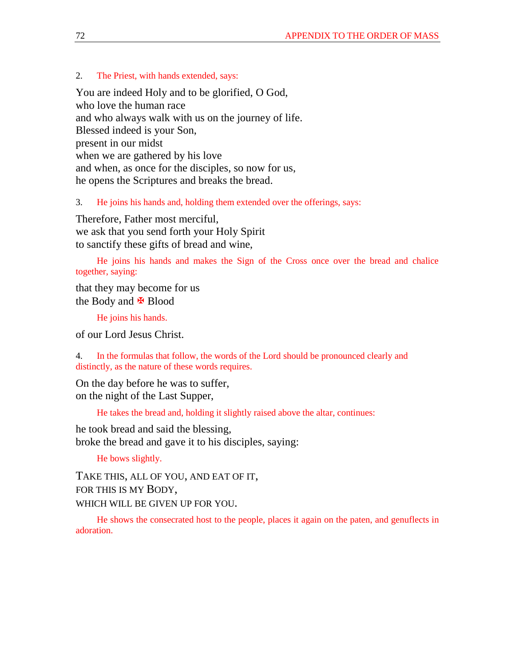2. The Priest, with hands extended, says:

You are indeed Holy and to be glorified, O God, who love the human race and who always walk with us on the journey of life. Blessed indeed is your Son, present in our midst when we are gathered by his love and when, as once for the disciples, so now for us, he opens the Scriptures and breaks the bread.

3. He joins his hands and, holding them extended over the offerings, says:

Therefore, Father most merciful, we ask that you send forth your Holy Spirit to sanctify these gifts of bread and wine,

He joins his hands and makes the Sign of the Cross once over the bread and chalice together, saying:

that they may become for us the Body and  $\blacktriangleright$  Blood

He joins his hands.

of our Lord Jesus Christ.

4. In the formulas that follow, the words of the Lord should be pronounced clearly and distinctly, as the nature of these words requires.

On the day before he was to suffer, on the night of the Last Supper,

He takes the bread and, holding it slightly raised above the altar, continues:

he took bread and said the blessing, broke the bread and gave it to his disciples, saying:

He bows slightly.

TAKE THIS, ALL OF YOU, AND EAT OF IT, FOR THIS IS MY BODY, WHICH WILL BE GIVEN UP FOR YOU.

He shows the consecrated host to the people, places it again on the paten, and genuflects in adoration.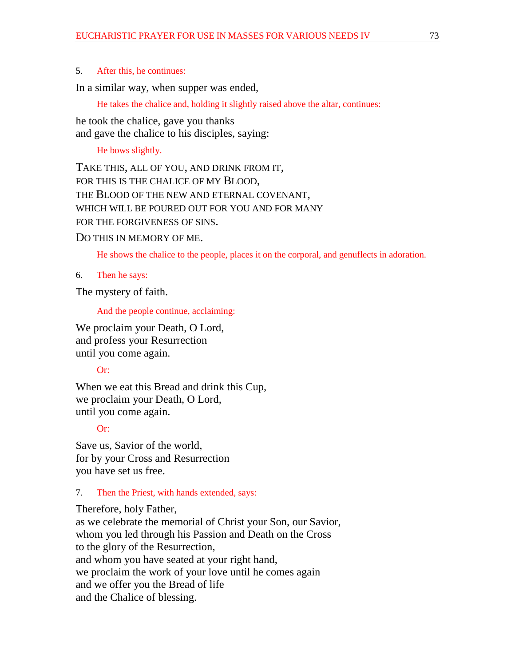# 5. After this, he continues:

In a similar way, when supper was ended,

He takes the chalice and, holding it slightly raised above the altar, continues:

he took the chalice, gave you thanks and gave the chalice to his disciples, saying:

# He bows slightly.

TAKE THIS, ALL OF YOU, AND DRINK FROM IT, FOR THIS IS THE CHALICE OF MY BLOOD. THE BLOOD OF THE NEW AND ETERNAL COVENANT, WHICH WILL BE POURED OUT FOR YOU AND FOR MANY FOR THE FORGIVENESS OF SINS.

# DO THIS IN MEMORY OF ME.

He shows the chalice to the people, places it on the corporal, and genuflects in adoration.

6. Then he says:

The mystery of faith.

And the people continue, acclaiming:

We proclaim your Death, O Lord, and profess your Resurrection until you come again.

# Or:

When we eat this Bread and drink this Cup, we proclaim your Death, O Lord, until you come again.

# Or:

Save us, Savior of the world, for by your Cross and Resurrection you have set us free.

# 7. Then the Priest, with hands extended, says:

Therefore, holy Father,

as we celebrate the memorial of Christ your Son, our Savior, whom you led through his Passion and Death on the Cross to the glory of the Resurrection, and whom you have seated at your right hand, we proclaim the work of your love until he comes again and we offer you the Bread of life and the Chalice of blessing.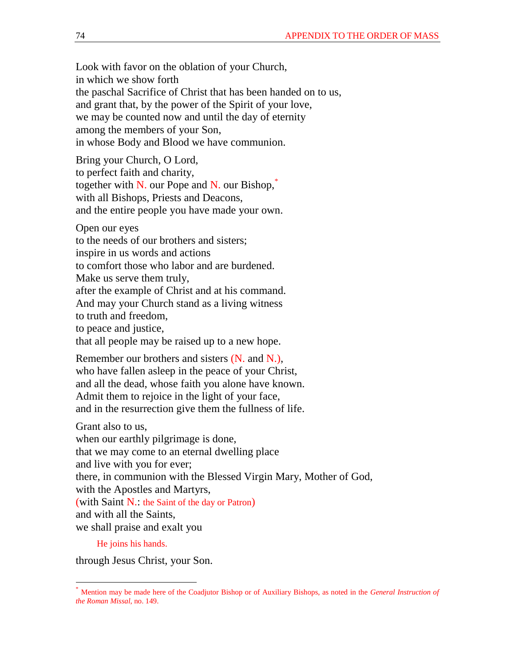Look with favor on the oblation of your Church, in which we show forth the paschal Sacrifice of Christ that has been handed on to us, and grant that, by the power of the Spirit of your love, we may be counted now and until the day of eternity among the members of your Son, in whose Body and Blood we have communion.

Bring your Church, O Lord, to perfect faith and charity, together with  $N$ . our Pope and  $N$ . our Bishop, with all Bishops, Priests and Deacons, and the entire people you have made your own.

Open our eyes

to the needs of our brothers and sisters;

inspire in us words and actions

to comfort those who labor and are burdened.

Make us serve them truly,

after the example of Christ and at his command.

And may your Church stand as a living witness

to truth and freedom,

to peace and justice,

that all people may be raised up to a new hope.

Remember our brothers and sisters (N. and N.), who have fallen asleep in the peace of your Christ, and all the dead, whose faith you alone have known. Admit them to rejoice in the light of your face, and in the resurrection give them the fullness of life.

Grant also to us,

when our earthly pilgrimage is done, that we may come to an eternal dwelling place and live with you for ever; there, in communion with the Blessed Virgin Mary, Mother of God, with the Apostles and Martyrs, (with Saint N.: the Saint of the day or Patron) and with all the Saints, we shall praise and exalt you

He joins his hands.

 $\overline{a}$ 

through Jesus Christ, your Son.

<sup>\*</sup> Mention may be made here of the Coadjutor Bishop or of Auxiliary Bishops, as noted in the *General Instruction of the Roman Missal*, no. 149.